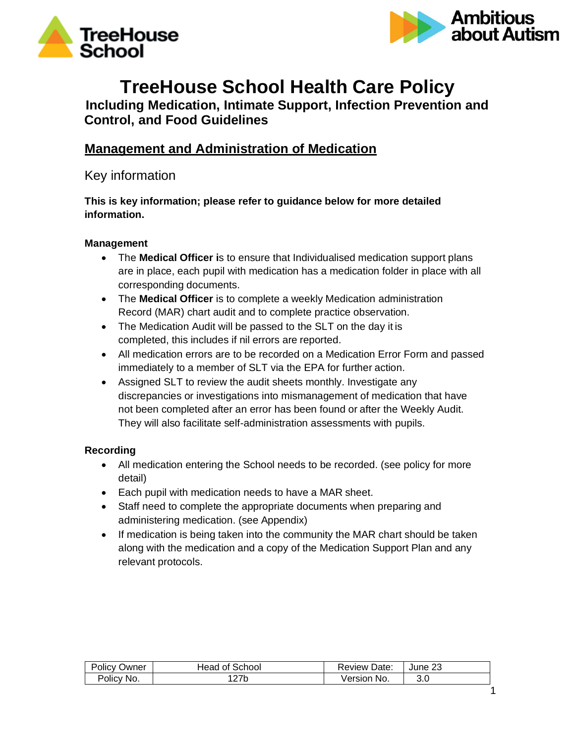



# **TreeHouse School Health Care Policy Including Medication, Intimate Support, Infection Prevention and**

**Control, and Food Guidelines**

# **Management and Administration of Medication**

Key information

**This is key information; please refer to guidance below for more detailed information.**

### **Management**

- The **Medical Officer i**s to ensure that Individualised medication support plans are in place, each pupil with medication has a medication folder in place with all corresponding documents.
- The **Medical Officer** is to complete a weekly Medication administration Record (MAR) chart audit and to complete practice observation.
- The Medication Audit will be passed to the SLT on the day it is completed, this includes if nil errors are reported.
- All medication errors are to be recorded on a Medication Error Form and passed immediately to a member of SLT via the EPA for further action.
- Assigned SLT to review the audit sheets monthly. Investigate any discrepancies or investigations into mismanagement of medication that have not been completed after an error has been found or after the Weekly Audit. They will also facilitate self-administration assessments with pupils.

### **Recording**

- All medication entering the School needs to be recorded. (see policy for more detail)
- Each pupil with medication needs to have a MAR sheet.
- Staff need to complete the appropriate documents when preparing and administering medication. (see Appendix)
- If medication is being taken into the community the MAR chart should be taken along with the medication and a copy of the Medication Support Plan and any relevant protocols.

| Owner<br>Policy | School<br>Head<br>Οt | Date:<br>,≺eview <sup>r</sup> | c<br>June 23 |
|-----------------|----------------------|-------------------------------|--------------|
| Mo.             | つつん                  | √ersion                       | 3.0          |
| Policv          | 21 N                 | No.                           |              |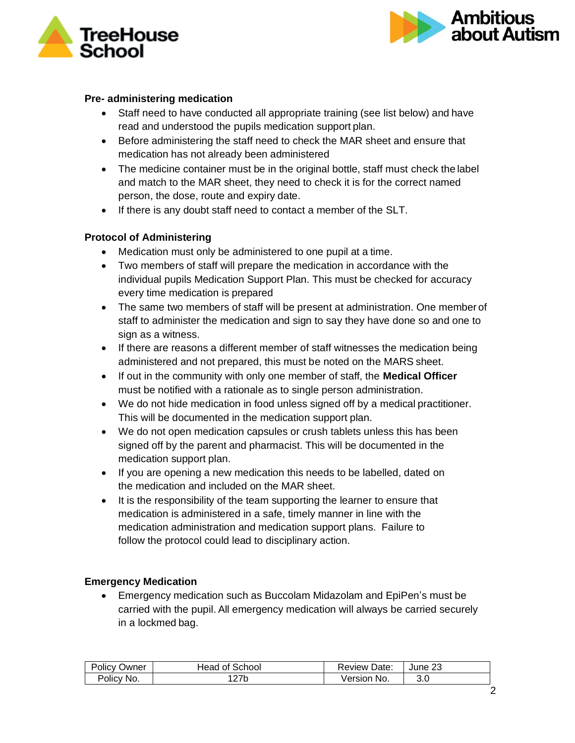



### **Pre- administering medication**

- Staff need to have conducted all appropriate training (see list below) and have read and understood the pupils medication support plan.
- Before administering the staff need to check the MAR sheet and ensure that medication has not already been administered
- The medicine container must be in the original bottle, staff must check the label and match to the MAR sheet, they need to check it is for the correct named person, the dose, route and expiry date.
- If there is any doubt staff need to contact a member of the SLT.

### **Protocol of Administering**

- Medication must only be administered to one pupil at a time.
- Two members of staff will prepare the medication in accordance with the individual pupils Medication Support Plan. This must be checked for accuracy every time medication is prepared
- The same two members of staff will be present at administration. One member of staff to administer the medication and sign to say they have done so and one to sign as a witness.
- If there are reasons a different member of staff witnesses the medication being administered and not prepared, this must be noted on the MARS sheet.
- If out in the community with only one member of staff, the **Medical Officer** must be notified with a rationale as to single person administration.
- We do not hide medication in food unless signed off by a medical practitioner. This will be documented in the medication support plan.
- We do not open medication capsules or crush tablets unless this has been signed off by the parent and pharmacist. This will be documented in the medication support plan.
- If you are opening a new medication this needs to be labelled, dated on the medication and included on the MAR sheet.
- It is the responsibility of the team supporting the learner to ensure that medication is administered in a safe, timely manner in line with the medication administration and medication support plans. Failure to follow the protocol could lead to disciplinary action.

#### **Emergency Medication**

• Emergency medication such as Buccolam Midazolam and EpiPen's must be carried with the pupil. All emergency medication will always be carried securely in a lockmed bag.

| <b>Policy</b><br>Owner | Head of School | <b>Review Date:</b> | June 23 |
|------------------------|----------------|---------------------|---------|
| Policy No.             | つつん<br>21 N    | No.<br>√ersion      | .J.U    |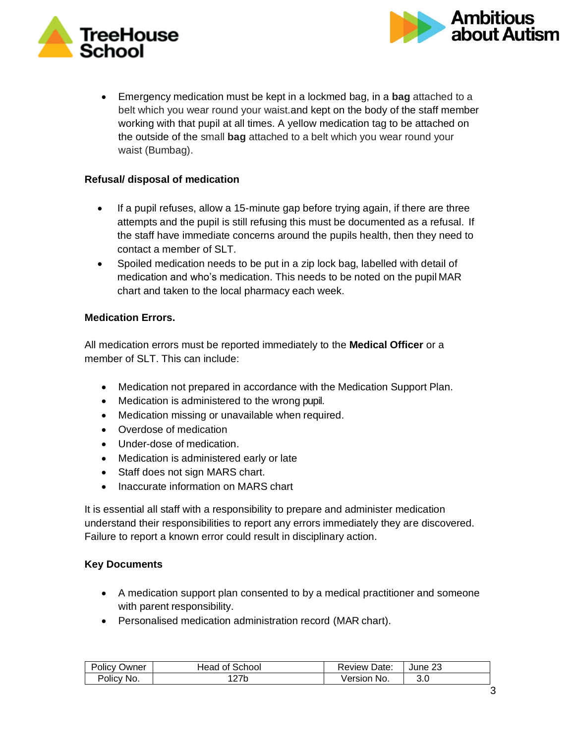



• Emergency medication must be kept in a lockmed bag, in a **bag** attached to a belt which you wear round your waist.and kept on the body of the staff member working with that pupil at all times. A yellow medication tag to be attached on the outside of the small **bag** attached to a belt which you wear round your waist (Bumbag).

### **Refusal/ disposal of medication**

- If a pupil refuses, allow a 15-minute gap before trying again, if there are three attempts and the pupil is still refusing this must be documented as a refusal. If the staff have immediate concerns around the pupils health, then they need to contact a member of SLT.
- Spoiled medication needs to be put in a zip lock bag, labelled with detail of medication and who's medication. This needs to be noted on the pupil MAR chart and taken to the local pharmacy each week.

### **Medication Errors.**

All medication errors must be reported immediately to the **Medical Officer** or a member of SLT. This can include:

- Medication not prepared in accordance with the Medication Support Plan.
- Medication is administered to the wrong pupil.
- Medication missing or unavailable when required.
- Overdose of medication
- Under-dose of medication.
- Medication is administered early or late
- Staff does not sign MARS chart.
- Inaccurate information on MARS chart

It is essential all staff with a responsibility to prepare and administer medication understand their responsibilities to report any errors immediately they are discovered. Failure to report a known error could result in disciplinary action.

### **Key Documents**

- A medication support plan consented to by a medical practitioner and someone with parent responsibility.
- Personalised medication administration record (MAR chart).

| Policy<br>Owner | Head of School | <b>Review Date:</b> | June 23 |
|-----------------|----------------|---------------------|---------|
| Policy No.      |                | No.<br>√ersion      | 3.0     |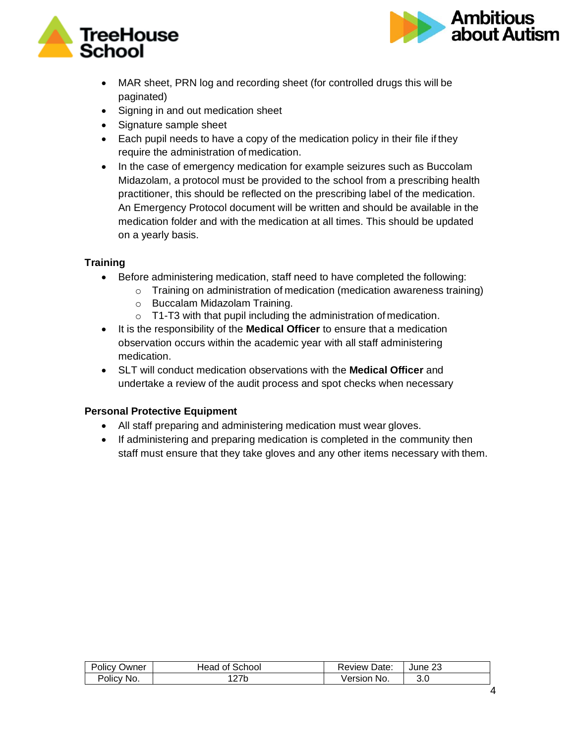



- MAR sheet, PRN log and recording sheet (for controlled drugs this will be paginated)
- Signing in and out medication sheet
- Signature sample sheet
- Each pupil needs to have a copy of the medication policy in their file if they require the administration of medication.
- In the case of emergency medication for example seizures such as Buccolam Midazolam, a protocol must be provided to the school from a prescribing health practitioner, this should be reflected on the prescribing label of the medication. An Emergency Protocol document will be written and should be available in the medication folder and with the medication at all times. This should be updated on a yearly basis.

### **Training**

- Before administering medication, staff need to have completed the following:
	- o Training on administration of medication (medication awareness training)
	- o Buccalam Midazolam Training.
	- $\circ$  T1-T3 with that pupil including the administration of medication.
- It is the responsibility of the **Medical Officer** to ensure that a medication observation occurs within the academic year with all staff administering medication.
- SLT will conduct medication observations with the **Medical Officer** and undertake a review of the audit process and spot checks when necessary

### **Personal Protective Equipment**

- All staff preparing and administering medication must wear gloves.
- If administering and preparing medication is completed in the community then staff must ensure that they take gloves and any other items necessary with them.

| . .<br>⊃wner<br>'olic∨⊸ | School<br>⊣ead<br>0t | Date:<br>Review | June 23 |
|-------------------------|----------------------|-----------------|---------|
| Policy No.              | つフト                  | No.             | ົ       |
|                         | <u>_ 1 N</u>         | /ersion         | J.U     |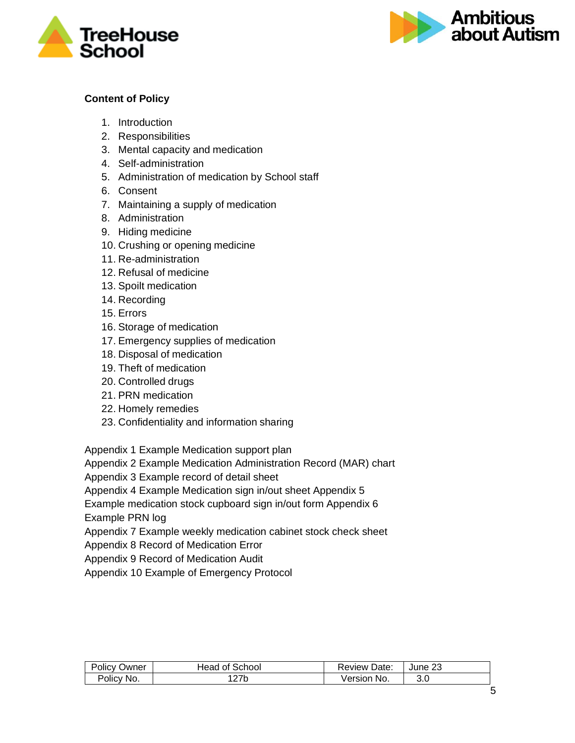



### **Content of Policy**

- 1. Introduction
- 2. Responsibilities
- 3. Mental capacity and medication
- 4. Self-administration
- 5. Administration of medication by School staff
- 6. Consent
- 7. Maintaining a supply of medication
- 8. Administration
- 9. Hiding medicine
- 10. Crushing or opening medicine
- 11. Re-administration
- 12. Refusal of medicine
- 13. Spoilt medication
- 14. Recording
- 15. Errors
- 16. Storage of medication
- 17. Emergency supplies of medication
- 18. Disposal of medication
- 19. Theft of medication
- 20. Controlled drugs
- 21. PRN medication
- 22. Homely remedies
- 23. Confidentiality and information sharing

Appendix 1 Example Medication support plan

Appendix 2 Example Medication Administration Record (MAR) chart

Appendix 3 Example record of detail sheet

Appendix 4 Example Medication sign in/out sheet Appendix 5

Example medication stock cupboard sign in/out form Appendix 6

Example PRN log

Appendix 7 Example weekly medication cabinet stock check sheet

Appendix 8 Record of Medication Error

Appendix 9 Record of Medication Audit

Appendix 10 Example of Emergency Protocol

| POIICV<br>Owner | School<br>tead<br>0ľ | Date:<br>Review | June 23 |
|-----------------|----------------------|-----------------|---------|
| Policy<br>: No. | 27 <sub>b</sub>      | No.<br>√ersion  | 3.0     |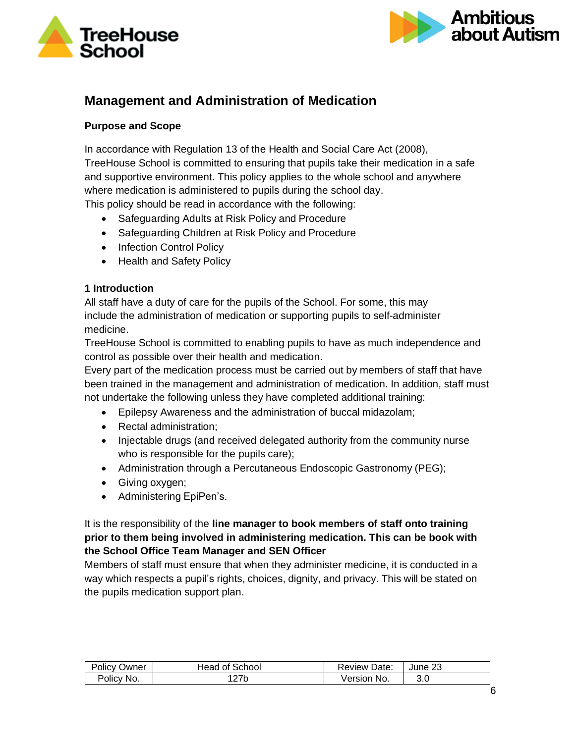



# **Management and Administration of Medication**

### **Purpose and Scope**

In accordance with Regulation 13 of the Health and Social Care Act (2008), TreeHouse School is committed to ensuring that pupils take their medication in a safe and supportive environment. This policy applies to the whole school and anywhere where medication is administered to pupils during the school day. This policy should be read in accordance with the following:

- Safeguarding Adults at Risk Policy and Procedure
- Safeguarding Children at Risk Policy and Procedure
- Infection Control Policy
- Health and Safety Policy

### **1 Introduction**

All staff have a duty of care for the pupils of the School. For some, this may include the administration of medication or supporting pupils to self-administer medicine.

TreeHouse School is committed to enabling pupils to have as much independence and control as possible over their health and medication.

Every part of the medication process must be carried out by members of staff that have been trained in the management and administration of medication. In addition, staff must not undertake the following unless they have completed additional training:

- Epilepsy Awareness and the administration of buccal midazolam;
- Rectal administration;
- Injectable drugs (and received delegated authority from the community nurse who is responsible for the pupils care);
- Administration through a Percutaneous Endoscopic Gastronomy (PEG);
- Giving oxygen;
- Administering EpiPen's.

### It is the responsibility of the **line manager to book members of staff onto training prior to them being involved in administering medication. This can be book with the School Office Team Manager and SEN Officer**

Members of staff must ensure that when they administer medicine, it is conducted in a way which respects a pupil's rights, choices, dignity, and privacy. This will be stated on the pupils medication support plan.

| Policy (<br>Owner | School<br>Head.<br>0t | Date:<br>Review | June 23 |
|-------------------|-----------------------|-----------------|---------|
| Policy<br>∵No.    | 127b                  | No.<br>√ersion  | 3.0     |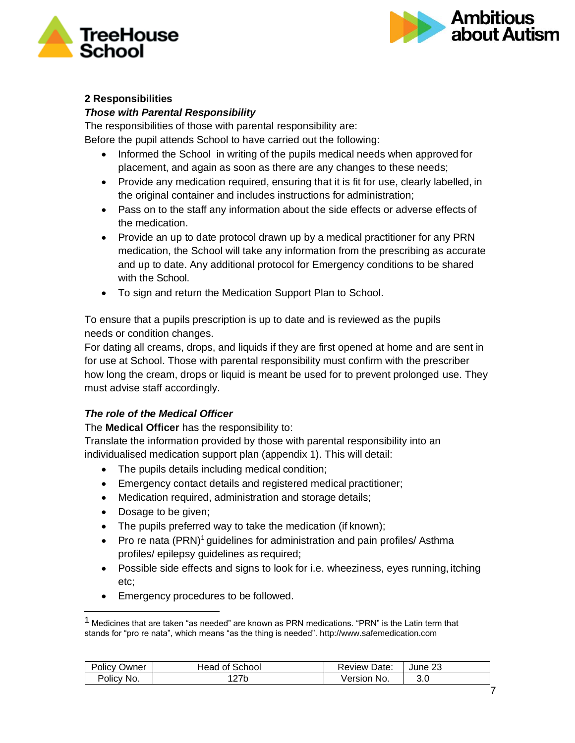



### **2 Responsibilities**

### *Those with Parental Responsibility*

The responsibilities of those with parental responsibility are: Before the pupil attends School to have carried out the following:

- Informed the School in writing of the pupils medical needs when approved for placement, and again as soon as there are any changes to these needs;
- Provide any medication required, ensuring that it is fit for use, clearly labelled, in the original container and includes instructions for administration;
- Pass on to the staff any information about the side effects or adverse effects of the medication.
- Provide an up to date protocol drawn up by a medical practitioner for any PRN medication, the School will take any information from the prescribing as accurate and up to date. Any additional protocol for Emergency conditions to be shared with the School.
- To sign and return the Medication Support Plan to School.

To ensure that a pupils prescription is up to date and is reviewed as the pupils needs or condition changes.

For dating all creams, drops, and liquids if they are first opened at home and are sent in for use at School. Those with parental responsibility must confirm with the prescriber how long the cream, drops or liquid is meant be used for to prevent prolonged use. They must advise staff accordingly.

### *The role of the Medical Officer*

The **Medical Officer** has the responsibility to:

Translate the information provided by those with parental responsibility into an individualised medication support plan (appendix 1). This will detail:

- The pupils details including medical condition;
- Emergency contact details and registered medical practitioner;
- Medication required, administration and storage details;
- Dosage to be given;
- The pupils preferred way to take the medication (if known);
- Pro re nata  $(PRN)^1$  guidelines for administration and pain profiles/ Asthma profiles/ epilepsy guidelines as required;
- Possible side effects and signs to look for i.e. wheeziness, eyes running, itching etc;
- Emergency procedures to be followed.

 $1$  Medicines that are taken "as needed" are known as PRN medications. "PRN" is the Latin term that stands for "pro re nata", which means "as the thing is needed"[. http://www.safemedication.com](http://www.safemedication.com/)

| Policy<br>Owner | Head of School | Date:<br>Review | June 23 |
|-----------------|----------------|-----------------|---------|
| Policy No.      | つフト<br>21 N    | No.<br>/ersion  | 3.0     |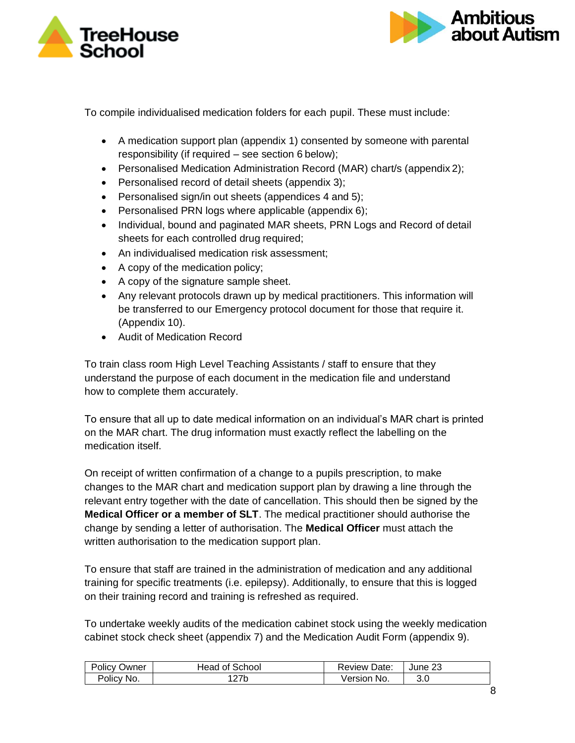



To compile individualised medication folders for each pupil. These must include:

- A medication support plan (appendix 1) consented by someone with parental responsibility (if required – see section 6 below);
- Personalised Medication Administration Record (MAR) chart/s (appendix 2);
- Personalised record of detail sheets (appendix 3);
- Personalised sign/in out sheets (appendices 4 and 5);
- Personalised PRN logs where applicable (appendix 6);
- Individual, bound and paginated MAR sheets, PRN Logs and Record of detail sheets for each controlled drug required;
- An individualised medication risk assessment;
- A copy of the medication policy;
- A copy of the signature sample sheet.
- Any relevant protocols drawn up by medical practitioners. This information will be transferred to our Emergency protocol document for those that require it. (Appendix 10).
- Audit of Medication Record

To train class room High Level Teaching Assistants / staff to ensure that they understand the purpose of each document in the medication file and understand how to complete them accurately.

To ensure that all up to date medical information on an individual's MAR chart is printed on the MAR chart. The drug information must exactly reflect the labelling on the medication itself.

On receipt of written confirmation of a change to a pupils prescription, to make changes to the MAR chart and medication support plan by drawing a line through the relevant entry together with the date of cancellation. This should then be signed by the **Medical Officer or a member of SLT**. The medical practitioner should authorise the change by sending a letter of authorisation. The **Medical Officer** must attach the written authorisation to the medication support plan.

To ensure that staff are trained in the administration of medication and any additional training for specific treatments (i.e. epilepsy). Additionally, to ensure that this is logged on their training record and training is refreshed as required.

To undertake weekly audits of the medication cabinet stock using the weekly medication cabinet stock check sheet (appendix 7) and the Medication Audit Form (appendix 9).

| Policy | Head of School | Date:   | c       |
|--------|----------------|---------|---------|
| Owner  |                | Review  | June 23 |
| Policy | つつん            | Version | 3.0     |
| No.    | 21 N           | ≅No.    |         |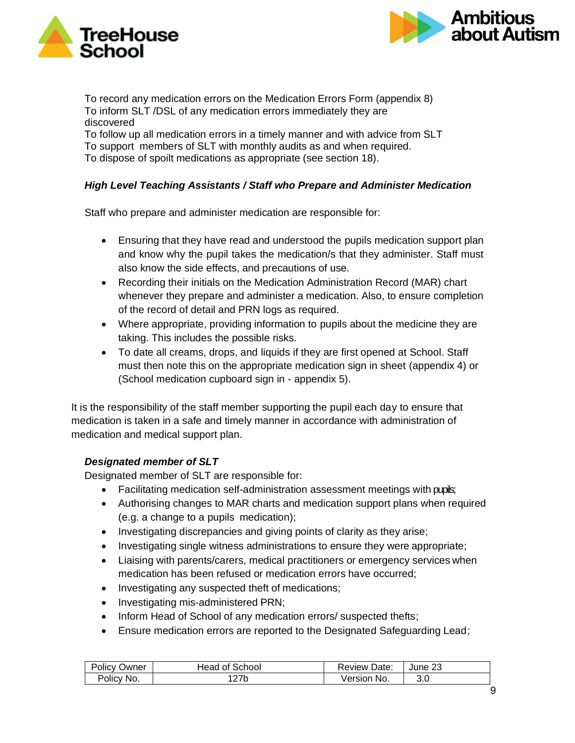



To record any medication errors on the Medication Errors Form (appendix 8) To inform SLT /DSL of any medication errors immediately they are discovered To follow up all medication errors in a timely manner and with advice from SLT To support members of SLT with monthly audits as and when required.

To dispose of spoilt medications as appropriate (see section 18).

### *High Level Teaching Assistants / Staff who Prepare and Administer Medication*

Staff who prepare and administer medication are responsible for:

- Ensuring that they have read and understood the pupils medication support plan and know why the pupil takes the medication/s that they administer. Staff must also know the side effects, and precautions of use.
- Recording their initials on the Medication Administration Record (MAR) chart whenever they prepare and administer a medication. Also, to ensure completion of the record of detail and PRN logs as required.
- Where appropriate, providing information to pupils about the medicine they are taking. This includes the possible risks.
- To date all creams, drops, and liquids if they are first opened at School. Staff must then note this on the appropriate medication sign in sheet (appendix 4) or (School medication cupboard sign in - appendix 5).

It is the responsibility of the staff member supporting the pupil each day to ensure that medication is taken in a safe and timely manner in accordance with administration of medication and medical support plan.

### *Designated member of SLT*

Designated member of SLT are responsible for:

- Facilitating medication self-administration assessment meetings with pupils;
- Authorising changes to MAR charts and medication support plans when required (e.g. a change to a pupils medication);
- Investigating discrepancies and giving points of clarity as they arise;
- Investigating single witness administrations to ensure they were appropriate;
- Liaising with parents/carers, medical practitioners or emergency services when medication has been refused or medication errors have occurred;
- Investigating any suspected theft of medications;
- Investigating mis-administered PRN;
- Inform Head of School of any medication errors/ suspected thefts;
- Ensure medication errors are reported to the Designated Safeguarding Lead;

| Policy     | of School   | <b>Review Date:</b> | nr      |
|------------|-------------|---------------------|---------|
| Owner      | Head        |                     | June 23 |
| Policy No. | つつい<br>21 N | Version No.         | 3.0     |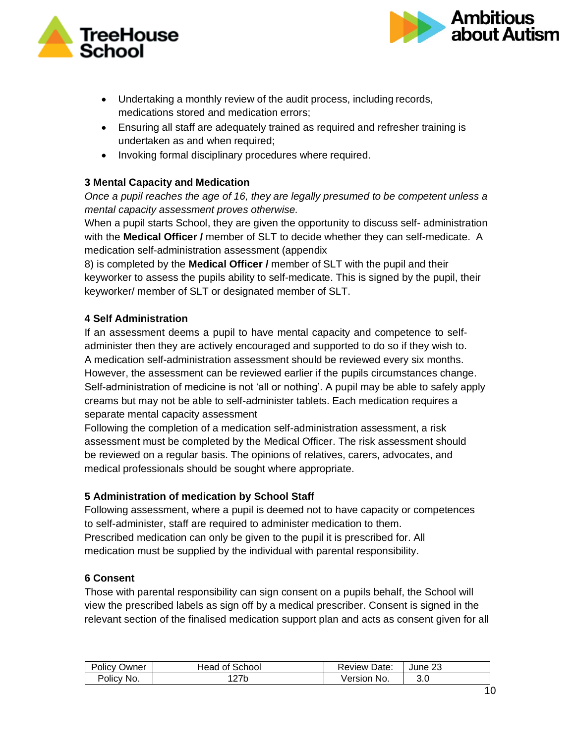



- Undertaking a monthly review of the audit process, including records, medications stored and medication errors;
- Ensuring all staff are adequately trained as required and refresher training is undertaken as and when required;
- Invoking formal disciplinary procedures where required.

### **3 Mental Capacity and Medication**

*Once a pupil reaches the age of 16, they are legally presumed to be competent unless a mental capacity assessment proves otherwise.*

When a pupil starts School, they are given the opportunity to discuss self- administration with the **Medical Officer /** member of SLT to decide whether they can self-medicate. A medication self-administration assessment (appendix

8) is completed by the **Medical Officer /** member of SLT with the pupil and their keyworker to assess the pupils ability to self-medicate. This is signed by the pupil, their keyworker/ member of SLT or designated member of SLT.

### **4 Self Administration**

If an assessment deems a pupil to have mental capacity and competence to selfadminister then they are actively encouraged and supported to do so if they wish to. A medication self-administration assessment should be reviewed every six months. However, the assessment can be reviewed earlier if the pupils circumstances change. Self-administration of medicine is not 'all or nothing'. A pupil may be able to safely apply creams but may not be able to self-administer tablets. Each medication requires a separate mental capacity assessment

Following the completion of a medication self-administration assessment, a risk assessment must be completed by the Medical Officer. The risk assessment should be reviewed on a regular basis. The opinions of relatives, carers, advocates, and medical professionals should be sought where appropriate.

### **5 Administration of medication by School Staff**

Following assessment, where a pupil is deemed not to have capacity or competences to self-administer, staff are required to administer medication to them. Prescribed medication can only be given to the pupil it is prescribed for. All medication must be supplied by the individual with parental responsibility.

#### **6 Consent**

Those with parental responsibility can sign consent on a pupils behalf, the School will view the prescribed labels as sign off by a medical prescriber. Consent is signed in the relevant section of the finalised medication support plan and acts as consent given for all

| <b>Policy</b><br>Owner | Head of School | Date:<br>Review | June 23 |
|------------------------|----------------|-----------------|---------|
| Policy No.             | つつん<br>21 D    | No.<br>∨ersion  | 3.0     |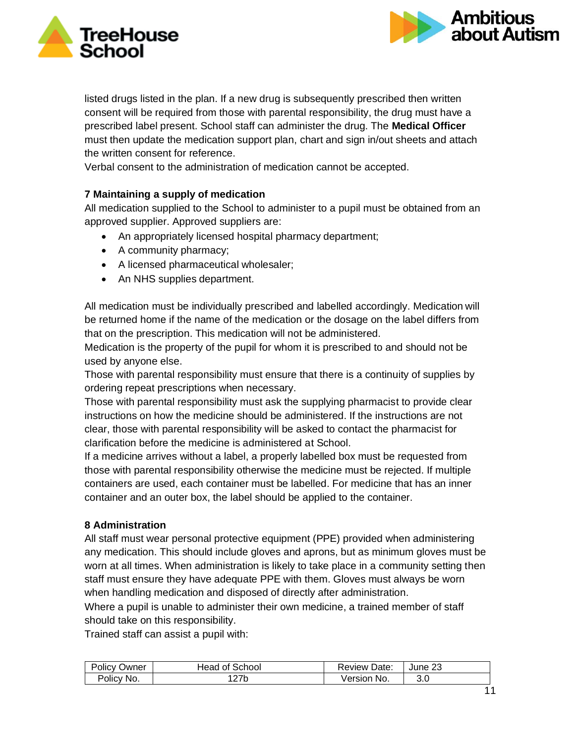



listed drugs listed in the plan. If a new drug is subsequently prescribed then written consent will be required from those with parental responsibility, the drug must have a prescribed label present. School staff can administer the drug. The **Medical Officer** must then update the medication support plan, chart and sign in/out sheets and attach the written consent for reference.

Verbal consent to the administration of medication cannot be accepted.

### **7 Maintaining a supply of medication**

All medication supplied to the School to administer to a pupil must be obtained from an approved supplier. Approved suppliers are:

- An appropriately licensed hospital pharmacy department;
- A community pharmacy;
- A licensed pharmaceutical wholesaler;
- An NHS supplies department.

All medication must be individually prescribed and labelled accordingly. Medication will be returned home if the name of the medication or the dosage on the label differs from that on the prescription. This medication will not be administered.

Medication is the property of the pupil for whom it is prescribed to and should not be used by anyone else.

Those with parental responsibility must ensure that there is a continuity of supplies by ordering repeat prescriptions when necessary.

Those with parental responsibility must ask the supplying pharmacist to provide clear instructions on how the medicine should be administered. If the instructions are not clear, those with parental responsibility will be asked to contact the pharmacist for clarification before the medicine is administered at School.

If a medicine arrives without a label, a properly labelled box must be requested from those with parental responsibility otherwise the medicine must be rejected. If multiple containers are used, each container must be labelled. For medicine that has an inner container and an outer box, the label should be applied to the container.

### **8 Administration**

All staff must wear personal protective equipment (PPE) provided when administering any medication. This should include gloves and aprons, but as minimum gloves must be worn at all times. When administration is likely to take place in a community setting then staff must ensure they have adequate PPE with them. Gloves must always be worn when handling medication and disposed of directly after administration.

Where a pupil is unable to administer their own medicine, a trained member of staff should take on this responsibility.

Trained staff can assist a pupil with:

| Policy Q<br>Owner | Head of School | Review<br>Date:  | June 23 |
|-------------------|----------------|------------------|---------|
| Policy<br>No.     | l 27b          | - No.<br>Version | 3.0     |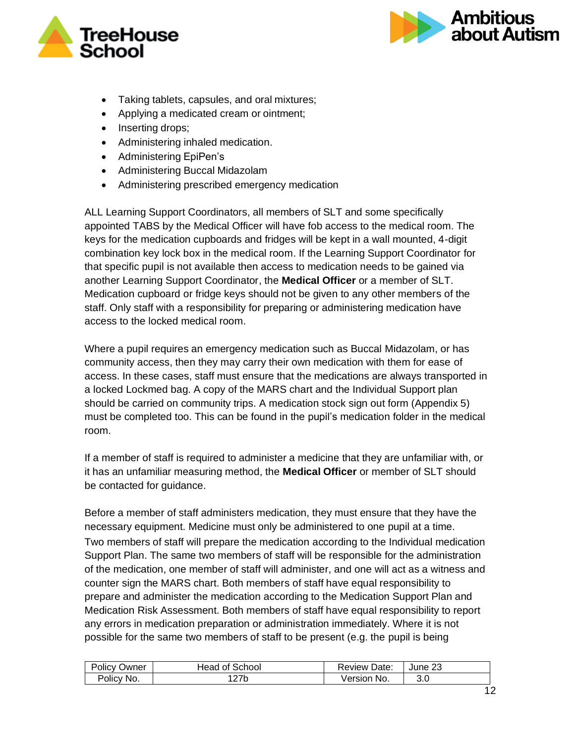



- Taking tablets, capsules, and oral mixtures;
- Applying a medicated cream or ointment;
- Inserting drops;
- Administering inhaled medication.
- Administering EpiPen's
- Administering Buccal Midazolam
- Administering prescribed emergency medication

ALL Learning Support Coordinators, all members of SLT and some specifically appointed TABS by the Medical Officer will have fob access to the medical room. The keys for the medication cupboards and fridges will be kept in a wall mounted, 4-digit combination key lock box in the medical room. If the Learning Support Coordinator for that specific pupil is not available then access to medication needs to be gained via another Learning Support Coordinator, the **Medical Officer** or a member of SLT. Medication cupboard or fridge keys should not be given to any other members of the staff. Only staff with a responsibility for preparing or administering medication have access to the locked medical room.

Where a pupil requires an emergency medication such as Buccal Midazolam, or has community access, then they may carry their own medication with them for ease of access. In these cases, staff must ensure that the medications are always transported in a locked Lockmed bag. A copy of the MARS chart and the Individual Support plan should be carried on community trips. A medication stock sign out form (Appendix 5) must be completed too. This can be found in the pupil's medication folder in the medical room.

If a member of staff is required to administer a medicine that they are unfamiliar with, or it has an unfamiliar measuring method, the **Medical Officer** or member of SLT should be contacted for guidance.

Before a member of staff administers medication, they must ensure that they have the necessary equipment. Medicine must only be administered to one pupil at a time. Two members of staff will prepare the medication according to the Individual medication Support Plan. The same two members of staff will be responsible for the administration of the medication, one member of staff will administer, and one will act as a witness and counter sign the MARS chart. Both members of staff have equal responsibility to prepare and administer the medication according to the Medication Support Plan and Medication Risk Assessment. Both members of staff have equal responsibility to report any errors in medication preparation or administration immediately. Where it is not possible for the same two members of staff to be present (e.g. the pupil is being

| <b>Policy</b><br>Owner | : School<br>Head.<br>0t | Date:<br>Review | June 23 |
|------------------------|-------------------------|-----------------|---------|
| Policy No.             | つつん<br>21 D             | No.<br>√ersion  | 3.0     |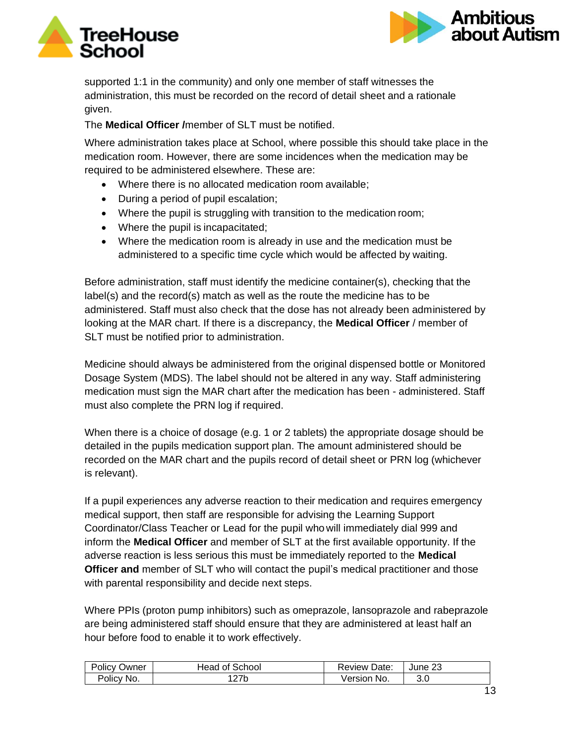



supported 1:1 in the community) and only one member of staff witnesses the administration, this must be recorded on the record of detail sheet and a rationale given.

The **Medical Officer /**member of SLT must be notified.

Where administration takes place at School, where possible this should take place in the medication room. However, there are some incidences when the medication may be required to be administered elsewhere. These are:

- Where there is no allocated medication room available;
- During a period of pupil escalation;
- Where the pupil is struggling with transition to the medication room;
- Where the pupil is incapacitated;
- Where the medication room is already in use and the medication must be administered to a specific time cycle which would be affected by waiting.

Before administration, staff must identify the medicine container(s), checking that the label(s) and the record(s) match as well as the route the medicine has to be administered. Staff must also check that the dose has not already been administered by looking at the MAR chart. If there is a discrepancy, the **Medical Officer** / member of SLT must be notified prior to administration.

Medicine should always be administered from the original dispensed bottle or Monitored Dosage System (MDS). The label should not be altered in any way. Staff administering medication must sign the MAR chart after the medication has been - administered. Staff must also complete the PRN log if required.

When there is a choice of dosage (e.g. 1 or 2 tablets) the appropriate dosage should be detailed in the pupils medication support plan. The amount administered should be recorded on the MAR chart and the pupils record of detail sheet or PRN log (whichever is relevant).

If a pupil experiences any adverse reaction to their medication and requires emergency medical support, then staff are responsible for advising the Learning Support Coordinator/Class Teacher or Lead for the pupil who will immediately dial 999 and inform the **Medical Officer** and member of SLT at the first available opportunity. If the adverse reaction is less serious this must be immediately reported to the **Medical Officer and** member of SLT who will contact the pupil's medical practitioner and those with parental responsibility and decide next steps.

Where PPIs (proton pump inhibitors) such as omeprazole, lansoprazole and rabeprazole are being administered staff should ensure that they are administered at least half an hour before food to enable it to work effectively.

| <b>Policy</b><br>Owner | ∣ of School<br>Head | <b>Review Date:</b> | June 23 |
|------------------------|---------------------|---------------------|---------|
| Policy No.             | 21 N                | ersion<br>≅No.      | 3.0     |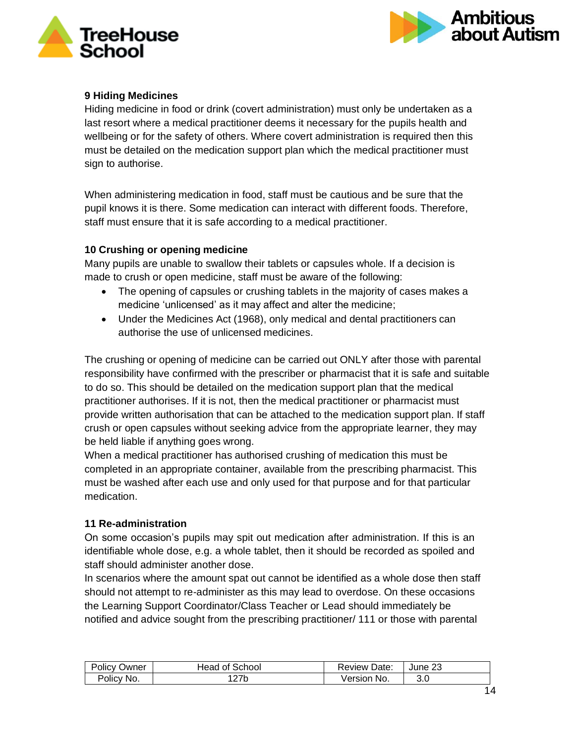



### **9 Hiding Medicines**

Hiding medicine in food or drink (covert administration) must only be undertaken as a last resort where a medical practitioner deems it necessary for the pupils health and wellbeing or for the safety of others. Where covert administration is required then this must be detailed on the medication support plan which the medical practitioner must sign to authorise.

When administering medication in food, staff must be cautious and be sure that the pupil knows it is there. Some medication can interact with different foods. Therefore, staff must ensure that it is safe according to a medical practitioner.

### **10 Crushing or opening medicine**

Many pupils are unable to swallow their tablets or capsules whole. If a decision is made to crush or open medicine, staff must be aware of the following:

- The opening of capsules or crushing tablets in the majority of cases makes a medicine 'unlicensed' as it may affect and alter the medicine;
- Under the Medicines Act (1968), only medical and dental practitioners can authorise the use of unlicensed medicines.

The crushing or opening of medicine can be carried out ONLY after those with parental responsibility have confirmed with the prescriber or pharmacist that it is safe and suitable to do so. This should be detailed on the medication support plan that the medical practitioner authorises. If it is not, then the medical practitioner or pharmacist must provide written authorisation that can be attached to the medication support plan. If staff crush or open capsules without seeking advice from the appropriate learner, they may be held liable if anything goes wrong.

When a medical practitioner has authorised crushing of medication this must be completed in an appropriate container, available from the prescribing pharmacist. This must be washed after each use and only used for that purpose and for that particular medication.

### **11 Re-administration**

On some occasion's pupils may spit out medication after administration. If this is an identifiable whole dose, e.g. a whole tablet, then it should be recorded as spoiled and staff should administer another dose.

In scenarios where the amount spat out cannot be identified as a whole dose then staff should not attempt to re-administer as this may lead to overdose. On these occasions the Learning Support Coordinator/Class Teacher or Lead should immediately be notified and advice sought from the prescribing practitioner/ 111 or those with parental

| Policy<br>Owner | Head of School | <b>Review Date:</b> | $\sim$<br>June 23 |
|-----------------|----------------|---------------------|-------------------|
| Policy No.      | つつい<br>21 N    | Version No.         | .J.U              |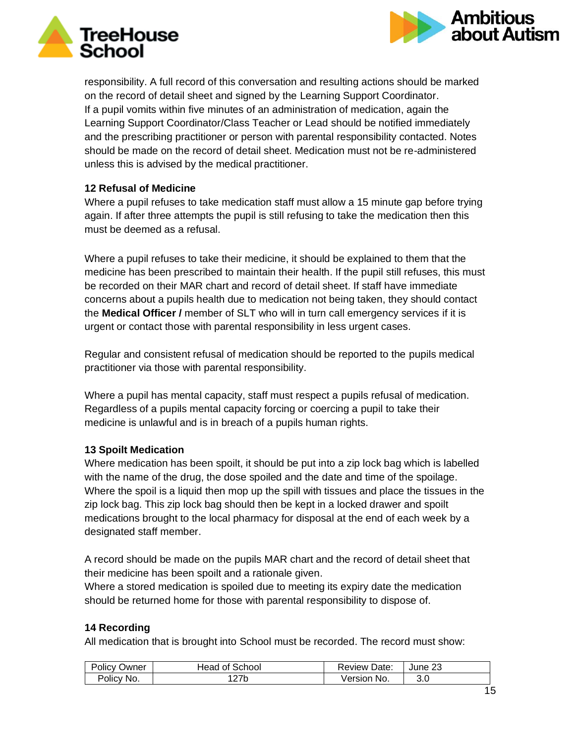



responsibility. A full record of this conversation and resulting actions should be marked on the record of detail sheet and signed by the Learning Support Coordinator. If a pupil vomits within five minutes of an administration of medication, again the Learning Support Coordinator/Class Teacher or Lead should be notified immediately and the prescribing practitioner or person with parental responsibility contacted. Notes should be made on the record of detail sheet. Medication must not be re-administered unless this is advised by the medical practitioner.

### **12 Refusal of Medicine**

Where a pupil refuses to take medication staff must allow a 15 minute gap before trying again. If after three attempts the pupil is still refusing to take the medication then this must be deemed as a refusal.

Where a pupil refuses to take their medicine, it should be explained to them that the medicine has been prescribed to maintain their health. If the pupil still refuses, this must be recorded on their MAR chart and record of detail sheet. If staff have immediate concerns about a pupils health due to medication not being taken, they should contact the **Medical Officer /** member of SLT who will in turn call emergency services if it is urgent or contact those with parental responsibility in less urgent cases.

Regular and consistent refusal of medication should be reported to the pupils medical practitioner via those with parental responsibility.

Where a pupil has mental capacity, staff must respect a pupils refusal of medication. Regardless of a pupils mental capacity forcing or coercing a pupil to take their medicine is unlawful and is in breach of a pupils human rights.

### **13 Spoilt Medication**

Where medication has been spoilt, it should be put into a zip lock bag which is labelled with the name of the drug, the dose spoiled and the date and time of the spoilage. Where the spoil is a liquid then mop up the spill with tissues and place the tissues in the zip lock bag. This zip lock bag should then be kept in a locked drawer and spoilt medications brought to the local pharmacy for disposal at the end of each week by a designated staff member.

A record should be made on the pupils MAR chart and the record of detail sheet that their medicine has been spoilt and a rationale given.

Where a stored medication is spoiled due to meeting its expiry date the medication should be returned home for those with parental responsibility to dispose of.

### **14 Recording**

All medication that is brought into School must be recorded. The record must show:

| Policy<br>Owner | ' of School<br>Head | <b>Review Date:</b> | June 23     |
|-----------------|---------------------|---------------------|-------------|
| Policy No.      | つフト<br>21 D         | Version No.         | ח כ<br>.J.U |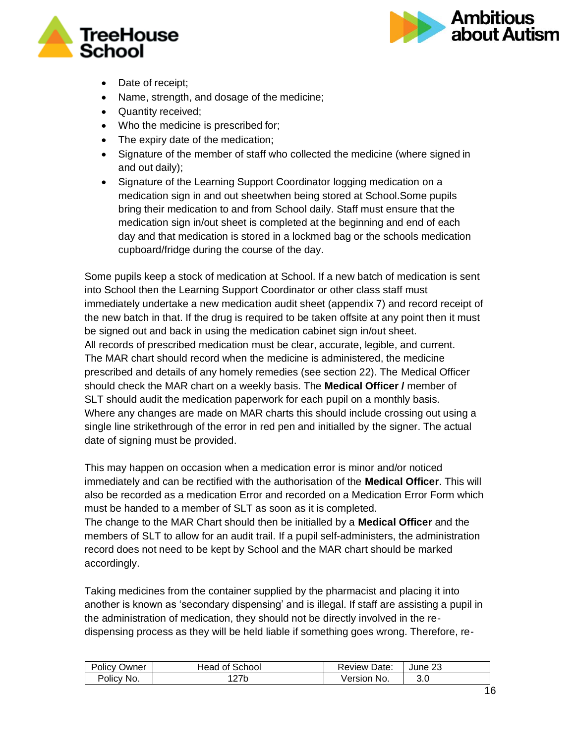



- Date of receipt;
- Name, strength, and dosage of the medicine;
- Quantity received;
- Who the medicine is prescribed for;
- The expiry date of the medication;
- Signature of the member of staff who collected the medicine (where signed in and out daily);
- Signature of the Learning Support Coordinator logging medication on a medication sign in and out sheetwhen being stored at School.Some pupils bring their medication to and from School daily. Staff must ensure that the medication sign in/out sheet is completed at the beginning and end of each day and that medication is stored in a lockmed bag or the schools medication cupboard/fridge during the course of the day.

Some pupils keep a stock of medication at School. If a new batch of medication is sent into School then the Learning Support Coordinator or other class staff must immediately undertake a new medication audit sheet (appendix 7) and record receipt of the new batch in that. If the drug is required to be taken offsite at any point then it must be signed out and back in using the medication cabinet sign in/out sheet. All records of prescribed medication must be clear, accurate, legible, and current. The MAR chart should record when the medicine is administered, the medicine prescribed and details of any homely remedies (see section 22). The Medical Officer should check the MAR chart on a weekly basis. The **Medical Officer /** member of SLT should audit the medication paperwork for each pupil on a monthly basis. Where any changes are made on MAR charts this should include crossing out using a single line strikethrough of the error in red pen and initialled by the signer. The actual date of signing must be provided.

This may happen on occasion when a medication error is minor and/or noticed immediately and can be rectified with the authorisation of the **Medical Officer**. This will also be recorded as a medication Error and recorded on a Medication Error Form which must be handed to a member of SLT as soon as it is completed. The change to the MAR Chart should then be initialled by a **Medical Officer** and the members of SLT to allow for an audit trail. If a pupil self-administers, the administration record does not need to be kept by School and the MAR chart should be marked accordingly.

Taking medicines from the container supplied by the pharmacist and placing it into another is known as 'secondary dispensing' and is illegal. If staff are assisting a pupil in the administration of medication, they should not be directly involved in the redispensing process as they will be held liable if something goes wrong. Therefore, re-

| Policy<br>Owner | : School<br>Head<br>0t | Date:<br>Review⊰ | nr<br>June 23 |
|-----------------|------------------------|------------------|---------------|
| Policy No.      | つつん<br>21 N            | /ersion<br>No.   | 3.0           |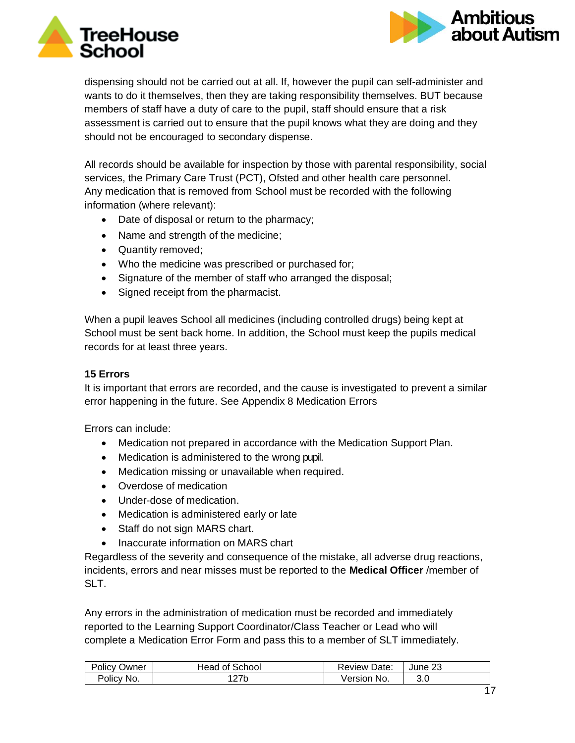



dispensing should not be carried out at all. If, however the pupil can self-administer and wants to do it themselves, then they are taking responsibility themselves. BUT because members of staff have a duty of care to the pupil, staff should ensure that a risk assessment is carried out to ensure that the pupil knows what they are doing and they should not be encouraged to secondary dispense.

All records should be available for inspection by those with parental responsibility, social services, the Primary Care Trust (PCT), Ofsted and other health care personnel. Any medication that is removed from School must be recorded with the following information (where relevant):

- Date of disposal or return to the pharmacy;
- Name and strength of the medicine;
- Quantity removed;
- Who the medicine was prescribed or purchased for;
- Signature of the member of staff who arranged the disposal;
- Signed receipt from the pharmacist.

When a pupil leaves School all medicines (including controlled drugs) being kept at School must be sent back home. In addition, the School must keep the pupils medical records for at least three years.

### **15 Errors**

It is important that errors are recorded, and the cause is investigated to prevent a similar error happening in the future. See Appendix 8 Medication Errors

Errors can include:

- Medication not prepared in accordance with the Medication Support Plan.
- Medication is administered to the wrong pupil.
- Medication missing or unavailable when required.
- Overdose of medication
- Under-dose of medication.
- Medication is administered early or late
- Staff do not sign MARS chart.
- Inaccurate information on MARS chart

Regardless of the severity and consequence of the mistake, all adverse drug reactions, incidents, errors and near misses must be reported to the **Medical Officer** /member of SLT.

Any errors in the administration of medication must be recorded and immediately reported to the Learning Support Coordinator/Class Teacher or Lead who will complete a Medication Error Form and pass this to a member of SLT immediately.

| Policy | of School | Date:   | June 23 |
|--------|-----------|---------|---------|
| Owner  | -lead.    | Review  |         |
| Policy | つつん       | No.     | 3.0     |
| ∵No.   | 21 N      | √ersion |         |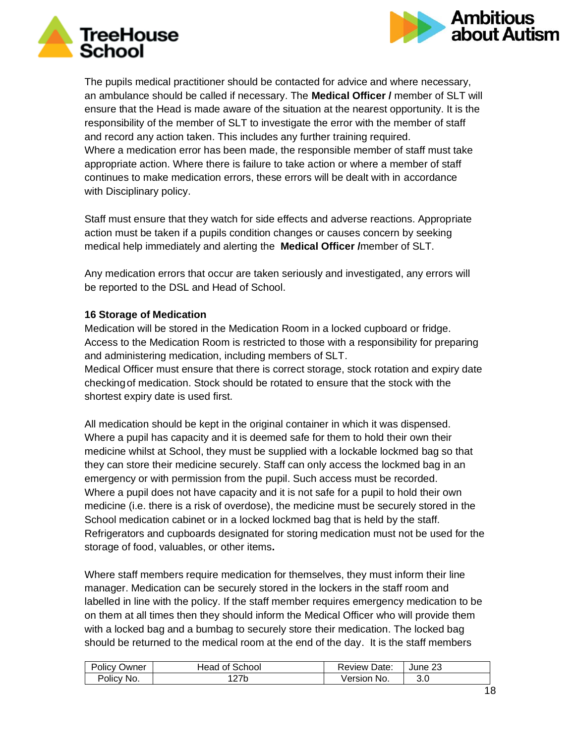



The pupils medical practitioner should be contacted for advice and where necessary, an ambulance should be called if necessary. The **Medical Officer /** member of SLT will ensure that the Head is made aware of the situation at the nearest opportunity. It is the responsibility of the member of SLT to investigate the error with the member of staff and record any action taken. This includes any further training required. Where a medication error has been made, the responsible member of staff must take appropriate action. Where there is failure to take action or where a member of staff continues to make medication errors, these errors will be dealt with in accordance with Disciplinary policy.

Staff must ensure that they watch for side effects and adverse reactions. Appropriate action must be taken if a pupils condition changes or causes concern by seeking medical help immediately and alerting the **Medical Officer /**member of SLT.

Any medication errors that occur are taken seriously and investigated, any errors will be reported to the DSL and Head of School.

### **16 Storage of Medication**

Medication will be stored in the Medication Room in a locked cupboard or fridge. Access to the Medication Room is restricted to those with a responsibility for preparing and administering medication, including members of SLT.

Medical Officer must ensure that there is correct storage, stock rotation and expiry date checkingof medication. Stock should be rotated to ensure that the stock with the shortest expiry date is used first.

All medication should be kept in the original container in which it was dispensed. Where a pupil has capacity and it is deemed safe for them to hold their own their medicine whilst at School, they must be supplied with a lockable lockmed bag so that they can store their medicine securely. Staff can only access the lockmed bag in an emergency or with permission from the pupil. Such access must be recorded. Where a pupil does not have capacity and it is not safe for a pupil to hold their own medicine (i.e. there is a risk of overdose), the medicine must be securely stored in the School medication cabinet or in a locked lockmed bag that is held by the staff. Refrigerators and cupboards designated for storing medication must not be used for the storage of food, valuables, or other items**.**

Where staff members require medication for themselves, they must inform their line manager. Medication can be securely stored in the lockers in the staff room and labelled in line with the policy. If the staff member requires emergency medication to be on them at all times then they should inform the Medical Officer who will provide them with a locked bag and a bumbag to securely store their medication. The locked bag should be returned to the medical room at the end of the day. It is the staff members

| Policy<br>Owner     | School<br>lead.<br>0t | <b>Review Date:</b> | ົ<br>June 23 |
|---------------------|-----------------------|---------------------|--------------|
| No.                 | つつん                   | √ersion             | 3.0          |
| Policy <sub>L</sub> | 21 N                  | No.                 |              |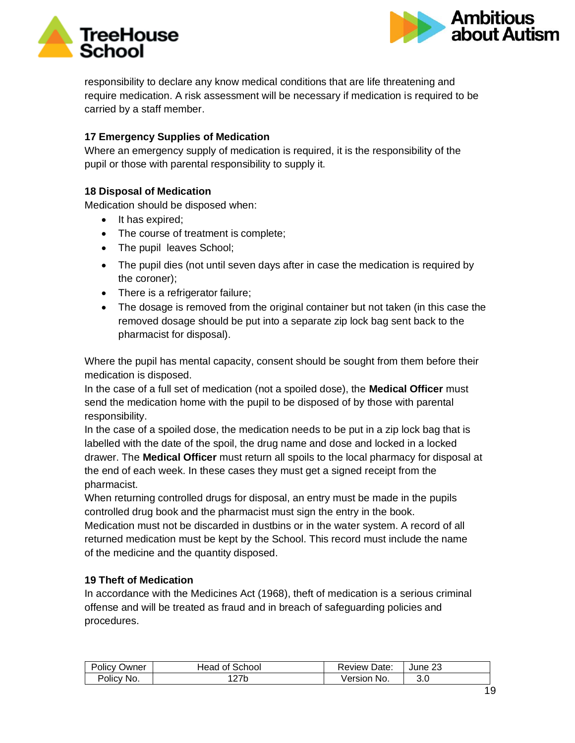



responsibility to declare any know medical conditions that are life threatening and require medication. A risk assessment will be necessary if medication is required to be carried by a staff member.

### **17 Emergency Supplies of Medication**

Where an emergency supply of medication is required, it is the responsibility of the pupil or those with parental responsibility to supply it.

### **18 Disposal of Medication**

Medication should be disposed when:

- It has expired;
- The course of treatment is complete;
- The pupil leaves School;
- The pupil dies (not until seven days after in case the medication is required by the coroner);
- There is a refrigerator failure;
- The dosage is removed from the original container but not taken (in this case the removed dosage should be put into a separate zip lock bag sent back to the pharmacist for disposal).

Where the pupil has mental capacity, consent should be sought from them before their medication is disposed.

In the case of a full set of medication (not a spoiled dose), the **Medical Officer** must send the medication home with the pupil to be disposed of by those with parental responsibility.

In the case of a spoiled dose, the medication needs to be put in a zip lock bag that is labelled with the date of the spoil, the drug name and dose and locked in a locked drawer. The **Medical Officer** must return all spoils to the local pharmacy for disposal at the end of each week. In these cases they must get a signed receipt from the pharmacist.

When returning controlled drugs for disposal, an entry must be made in the pupils controlled drug book and the pharmacist must sign the entry in the book.

Medication must not be discarded in dustbins or in the water system. A record of all returned medication must be kept by the School. This record must include the name of the medicine and the quantity disposed.

### **19 Theft of Medication**

In accordance with the Medicines Act (1968), theft of medication is a serious criminal offense and will be treated as fraud and in breach of safeguarding policies and procedures.

| Policy<br>Owner | of School<br>Head | Review Date:     | June 23 |
|-----------------|-------------------|------------------|---------|
| Policy No.      | 27b               | - No.<br>Version | ა.u     |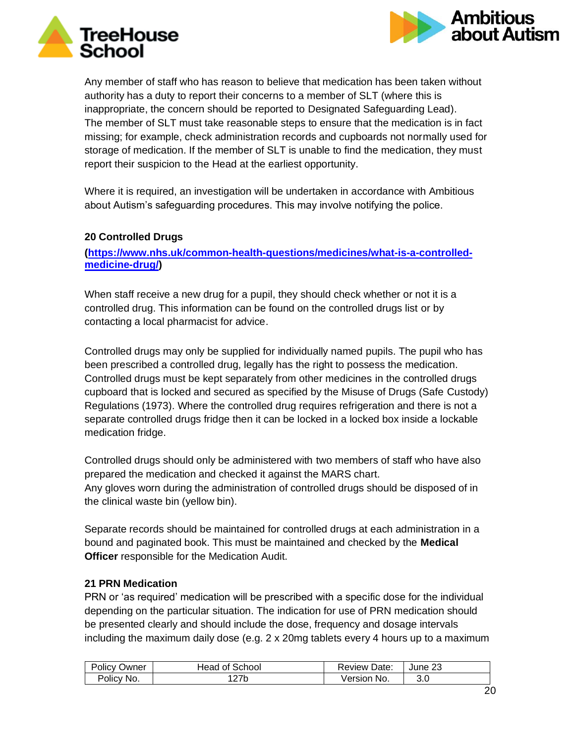



Any member of staff who has reason to believe that medication has been taken without authority has a duty to report their concerns to a member of SLT (where this is inappropriate, the concern should be reported to Designated Safeguarding Lead). The member of SLT must take reasonable steps to ensure that the medication is in fact missing; for example, check administration records and cupboards not normally used for storage of medication. If the member of SLT is unable to find the medication, they must report their suspicion to the Head at the earliest opportunity.

Where it is required, an investigation will be undertaken in accordance with Ambitious about Autism's safeguarding procedures. This may involve notifying the police.

### **20 Controlled Drugs**

**[\(https://www.nhs.uk/common-health-questions/medicines/what-is-a-controlled](https://www.nhs.uk/common-health-questions/medicines/what-is-a-controlled-medicine-drug/)[medicine-drug/\)](https://www.nhs.uk/common-health-questions/medicines/what-is-a-controlled-medicine-drug/)**

When staff receive a new drug for a pupil, they should check whether or not it is a controlled drug. This information can be found on the controlled drugs list or by contacting a local pharmacist for advice.

Controlled drugs may only be supplied for individually named pupils. The pupil who has been prescribed a controlled drug, legally has the right to possess the medication. Controlled drugs must be kept separately from other medicines in the controlled drugs cupboard that is locked and secured as specified by the Misuse of Drugs (Safe Custody) Regulations (1973). Where the controlled drug requires refrigeration and there is not a separate controlled drugs fridge then it can be locked in a locked box inside a lockable medication fridge.

Controlled drugs should only be administered with two members of staff who have also prepared the medication and checked it against the MARS chart. Any gloves worn during the administration of controlled drugs should be disposed of in the clinical waste bin (yellow bin).

Separate records should be maintained for controlled drugs at each administration in a bound and paginated book. This must be maintained and checked by the **Medical Officer** responsible for the Medication Audit.

### **21 PRN Medication**

PRN or 'as required' medication will be prescribed with a specific dose for the individual depending on the particular situation. The indication for use of PRN medication should be presented clearly and should include the dose, frequency and dosage intervals including the maximum daily dose (e.g. 2 x 20mg tablets every 4 hours up to a maximum

| Policy     | of School   | Review Date:   | nr      |
|------------|-------------|----------------|---------|
| Owner      | Head        |                | June 23 |
| Policy No. | つつん<br>21 N | √ersion<br>NO. | 3.0     |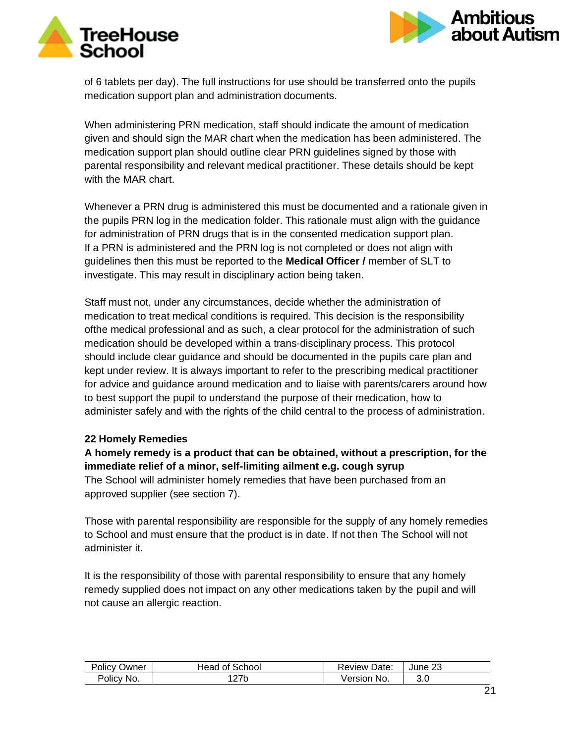



of 6 tablets per day). The full instructions for use should be transferred onto the pupils medication support plan and administration documents.

When administering PRN medication, staff should indicate the amount of medication given and should sign the MAR chart when the medication has been administered. The medication support plan should outline clear PRN guidelines signed by those with parental responsibility and relevant medical practitioner. These details should be kept with the MAR chart.

Whenever a PRN drug is administered this must be documented and a rationale given in the pupils PRN log in the medication folder. This rationale must align with the guidance for administration of PRN drugs that is in the consented medication support plan. If a PRN is administered and the PRN log is not completed or does not align with guidelines then this must be reported to the **Medical Officer /** member of SLT to investigate. This may result in disciplinary action being taken.

Staff must not, under any circumstances, decide whether the administration of medication to treat medical conditions is required. This decision is the responsibility ofthe medical professional and as such, a clear protocol for the administration of such medication should be developed within a trans-disciplinary process. This protocol should include clear guidance and should be documented in the pupils care plan and kept under review. It is always important to refer to the prescribing medical practitioner for advice and guidance around medication and to liaise with parents/carers around how to best support the pupil to understand the purpose of their medication, how to administer safely and with the rights of the child central to the process of administration.

### **22 Homely Remedies**

### **A homely remedy is a product that can be obtained, without a prescription, for the immediate relief of a minor, self-limiting ailment e.g. cough syrup** The School will administer homely remedies that have been purchased from an

approved supplier (see section 7).

Those with parental responsibility are responsible for the supply of any homely remedies to School and must ensure that the product is in date. If not then The School will not administer it.

It is the responsibility of those with parental responsibility to ensure that any homely remedy supplied does not impact on any other medications taken by the pupil and will not cause an allergic reaction.

| <b>Policy</b><br>Owner | ∣ of School<br>Head | <b>Review Date:</b> | June 23 |
|------------------------|---------------------|---------------------|---------|
| Policy No.             | 21 N                | ersion<br>≅No.      | 3.0     |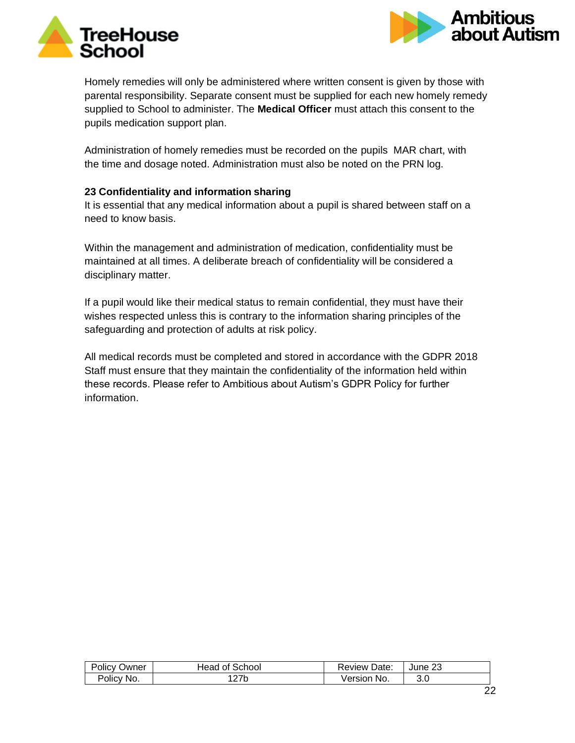



Homely remedies will only be administered where written consent is given by those with parental responsibility. Separate consent must be supplied for each new homely remedy supplied to School to administer. The **Medical Officer** must attach this consent to the pupils medication support plan.

Administration of homely remedies must be recorded on the pupils MAR chart, with the time and dosage noted. Administration must also be noted on the PRN log.

### **23 Confidentiality and information sharing**

It is essential that any medical information about a pupil is shared between staff on a need to know basis.

Within the management and administration of medication, confidentiality must be maintained at all times. A deliberate breach of confidentiality will be considered a disciplinary matter.

If a pupil would like their medical status to remain confidential, they must have their wishes respected unless this is contrary to the information sharing principles of the safeguarding and protection of adults at risk policy.

All medical records must be completed and stored in accordance with the GDPR 2018 Staff must ensure that they maintain the confidentiality of the information held within these records. Please refer to Ambitious about Autism's GDPR Policy for further information.

| Policy     | ⊺of School  | Date:          | June 23 |
|------------|-------------|----------------|---------|
| Owner      | -lead       | Review         |         |
| Policy No. | つつい<br>21 N | √ersion<br>No. | 3.0     |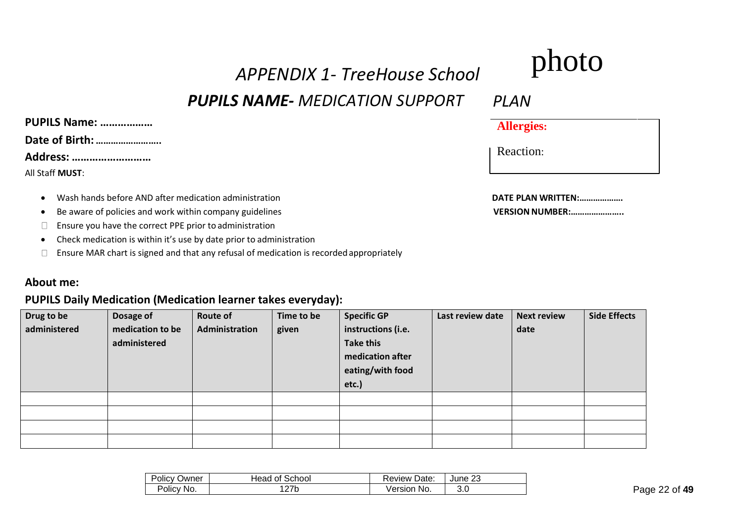# *APPENDIX 1- TreeHouse School*

# *PUPILS NAME- MEDICATION SUPPORT*

# **PUPILS Name: ……………… Date of Birth: …………………….. Address: ………………………** All Staff **MUST**:

- Wash hands before AND after medication administration
- Be aware of policies and work within company guidelines **VERSION** WERSION NUMBER:...................................
- Ensure you have the correct PPE prior to administration  $\Box$
- Check medication is within it's use by date prior to administration
- $\Box$  Ensure MAR chart is signed and that any refusal of medication is recorded appropriately

### **About me:**

### **PUPILS Daily Medication (Medication learner takes everyday):**

| Drug to be<br>administered | Dosage of<br>medication to be<br>administered | <b>Route of</b><br>Administration | Time to be<br>given | <b>Specific GP</b><br>instructions (i.e.<br><b>Take this</b><br>medication after<br>eating/with food<br>etc.) | Last review date | <b>Next review</b><br>date | <b>Side Effects</b> |
|----------------------------|-----------------------------------------------|-----------------------------------|---------------------|---------------------------------------------------------------------------------------------------------------|------------------|----------------------------|---------------------|
|                            |                                               |                                   |                     |                                                                                                               |                  |                            |                     |
|                            |                                               |                                   |                     |                                                                                                               |                  |                            |                     |
|                            |                                               |                                   |                     |                                                                                                               |                  |                            |                     |
|                            |                                               |                                   |                     |                                                                                                               |                  |                            |                     |

| Policy<br>Owner | Head of School | Review Date:   | June 23 |
|-----------------|----------------|----------------|---------|
| Policy No.      |                | Version<br>No. | 3.0     |

# photo

*PLAN*

Reaction:

|  |                     | DATE PLAN WRITTEN: |  |
|--|---------------------|--------------------|--|
|  | 1/50010111111101055 |                    |  |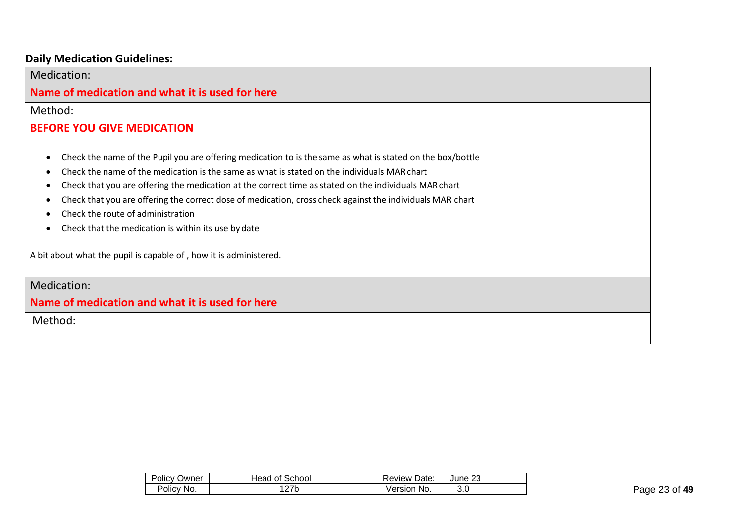### **Daily Medication Guidelines:**

Medication:

### **Name of medication and what it is used for here**

Method:

# **BEFORE YOU GIVE MEDICATION**

- Check the name of the Pupil you are offering medication to is the same as what is stated on the box/bottle
- Check the name of the medication is the same as what is stated on the individuals MARchart
- Check that you are offering the medication at the correct time as stated on the individuals MARchart
- Check that you are offering the correct dose of medication, cross check against the individuals MAR chart
- Check the route of administration
- Check that the medication is within its use by date

A bit about what the pupil is capable of , how it is administered.

## Medication:

### **Name of medication and what it is used for here**

Method:

| Policy<br>Owner | Head of School | Review<br>Date: | June 23 |
|-----------------|----------------|-----------------|---------|
| Policy No.      | 27b            | Version<br>No.  | o.u     |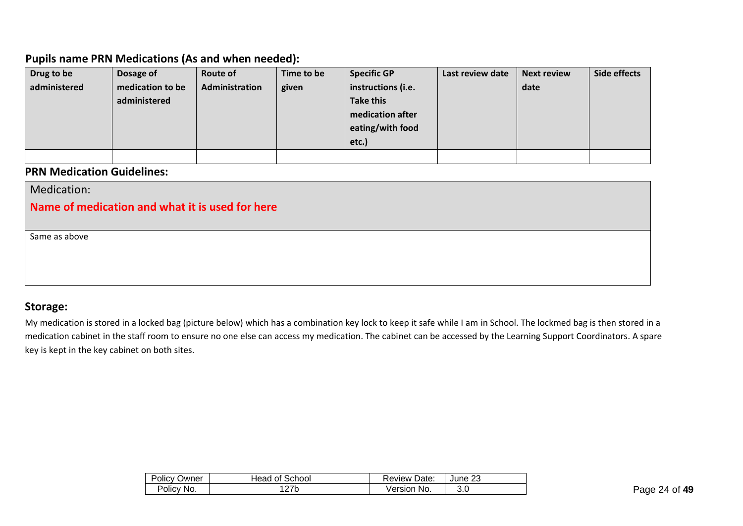## **Pupils name PRN Medications (As and when needed):**

| Drug to be   | Dosage of        | Route of       | Time to be | <b>Specific GP</b> | Last review date | <b>Next review</b> | Side effects |
|--------------|------------------|----------------|------------|--------------------|------------------|--------------------|--------------|
| administered | medication to be | Administration | given      | instructions (i.e. |                  | date               |              |
|              | administered     |                |            | <b>Take this</b>   |                  |                    |              |
|              |                  |                |            | medication after   |                  |                    |              |
|              |                  |                |            | eating/with food   |                  |                    |              |
|              |                  |                |            | etc.)              |                  |                    |              |
|              |                  |                |            |                    |                  |                    |              |

## **PRN Medication Guidelines:**

| Medication:                                     |  |  |  |  |  |  |
|-------------------------------------------------|--|--|--|--|--|--|
| Name of medication and what it is used for here |  |  |  |  |  |  |
|                                                 |  |  |  |  |  |  |
| Same as above                                   |  |  |  |  |  |  |
|                                                 |  |  |  |  |  |  |
|                                                 |  |  |  |  |  |  |
|                                                 |  |  |  |  |  |  |

### **Storage:**

My medication is stored in a locked bag (picture below) which has a combination key lock to keep it safe while I am in School. The lockmed bag is then stored in a medication cabinet in the staff room to ensure no one else can access my medication. The cabinet can be accessed by the Learning Support Coordinators. A spare key is kept in the key cabinet on both sites.

| <b>Policy Owner</b> | Head of School  | Review Date:   | June 23    |
|---------------------|-----------------|----------------|------------|
| Policy No.          | つフト<br>N<br>L I | Version<br>No. | R C<br>v.v |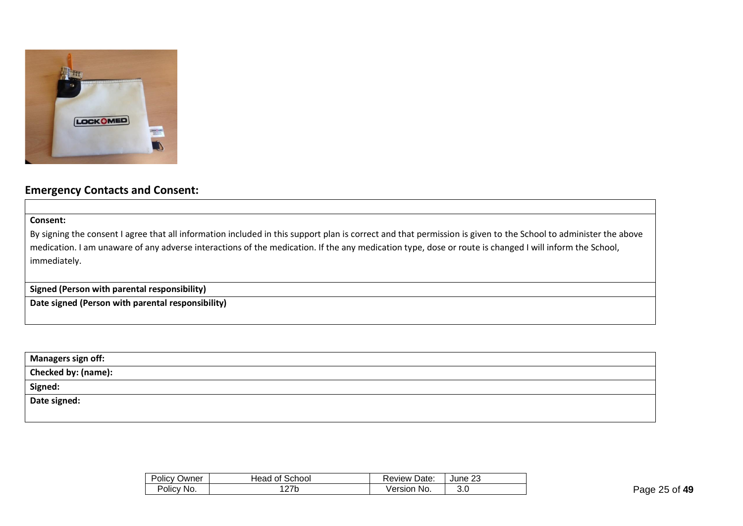

### **Emergency Contacts and Consent:**

**Consent:**

By signing the consent I agree that all information included in this support plan is correct and that permission is given to the School to administer the above medication. I am unaware of any adverse interactions of the medication. If the any medication type, dose or route is changed I will inform the School, immediately.

**Signed (Person with parental responsibility)**

**Date signed (Person with parental responsibility)**

| <b>Managers sign off:</b>  |  |
|----------------------------|--|
| <b>Checked by: (name):</b> |  |
| Signed:                    |  |
| Date signed:               |  |
|                            |  |

| Policy (<br>Owner | Head of School | <b>Review Date:</b> | June 23 |
|-------------------|----------------|---------------------|---------|
| Policy No.        | $\sim$         | No.<br>Version      | v.u     |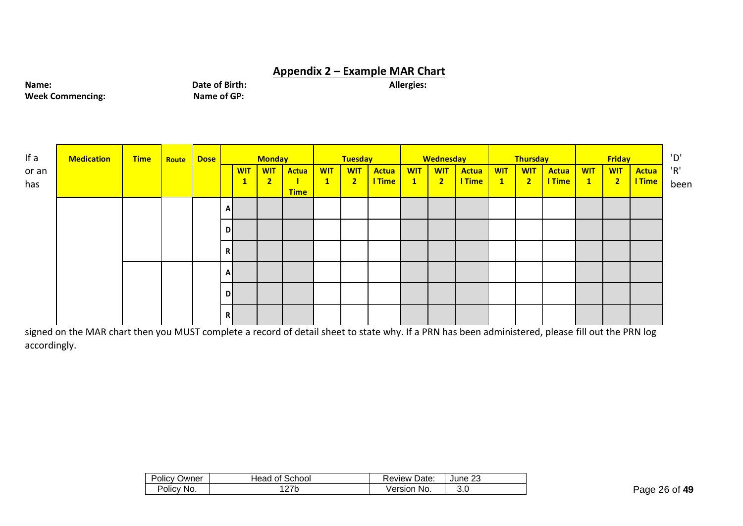### **Appendix 2 – Example MAR Chart**

**Name: Date of Birth: Date of Birth: Allergies: Allergies: Week Commencing: Allergies: Name of GP: Allergies: Allergies: Allergies: Allergies: Allergies: Allergies: Allergies: Allergies: All Week Commencing:** 

| If a         | <b>Medication</b> | <b>Time</b> | Route | Dose |              |                            | <b>Monday</b>                |                                               |                              | <b>Tuesday</b>            |                 |                            | Wednesday                             |                               |                            | <b>Thursday</b>              |                        |                            | <b>Friday</b>            |                 |
|--------------|-------------------|-------------|-------|------|--------------|----------------------------|------------------------------|-----------------------------------------------|------------------------------|---------------------------|-----------------|----------------------------|---------------------------------------|-------------------------------|----------------------------|------------------------------|------------------------|----------------------------|--------------------------|-----------------|
| or an<br>has |                   |             |       |      |              | <b>WIT</b><br>$\mathbf{T}$ | <b>WIT</b><br>$\overline{2}$ | <b>Actua</b><br>$\blacksquare$<br><b>Time</b> | <b>WIT</b><br>$\blacksquare$ | <b>WIT</b><br>$2^{\circ}$ | Actua<br>I Time | <b>WIT</b><br>$\mathbf{1}$ | <b>WIT</b><br>$\overline{\mathbf{2}}$ | <b>Actua</b><br><b>I</b> Time | <b>WIT</b><br>$\mathbf{1}$ | <b>WIT</b><br>$\overline{2}$ | <b>Actua</b><br>I Time | <b>WIT</b><br>$\mathbf{1}$ | <b>WIT</b><br>$\sqrt{2}$ | Actua<br>I Time |
|              |                   |             |       |      | A            |                            |                              |                                               |                              |                           |                 |                            |                                       |                               |                            |                              |                        |                            |                          |                 |
|              |                   |             |       |      | D            |                            |                              |                                               |                              |                           |                 |                            |                                       |                               |                            |                              |                        |                            |                          |                 |
|              |                   |             |       |      | R            |                            |                              |                                               |                              |                           |                 |                            |                                       |                               |                            |                              |                        |                            |                          |                 |
|              |                   |             |       |      | $\mathbf{A}$ |                            |                              |                                               |                              |                           |                 |                            |                                       |                               |                            |                              |                        |                            |                          |                 |
|              |                   |             |       |      | D            |                            |                              |                                               |                              |                           |                 |                            |                                       |                               |                            |                              |                        |                            |                          |                 |
|              |                   |             |       |      | R            |                            |                              |                                               |                              |                           |                 |                            |                                       |                               |                            |                              |                        |                            |                          |                 |

signed on the MAR chart then you MUST complete a record of detail sheet to state why. If a PRN has been administered, please fill out the PRN log accordingly.

| Policy<br>Owner | Head of School  | <b>Review Date:</b>   | June 23 |
|-----------------|-----------------|-----------------------|---------|
| Policy No.      | 27 <sub>b</sub> | <b>Version</b><br>No. | 3.0     |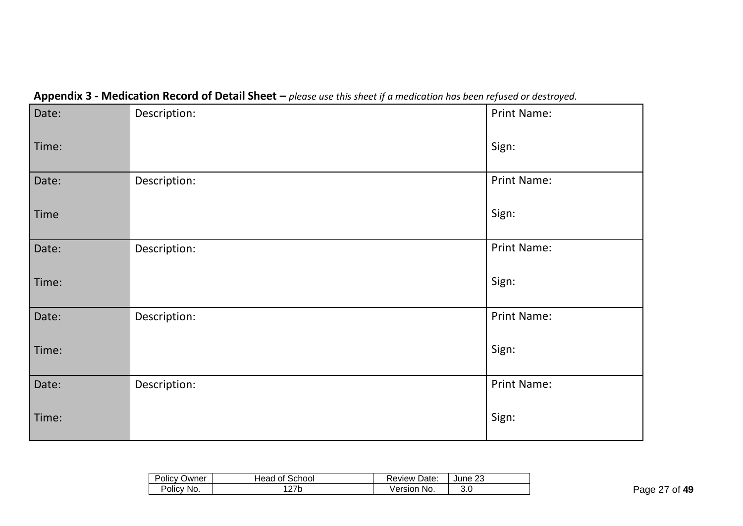| <u></u> | ╯            |             |
|---------|--------------|-------------|
| Date:   | Description: | Print Name: |
| Time:   |              | Sign:       |
| Date:   | Description: | Print Name: |
| Time    |              | Sign:       |
| Date:   | Description: | Print Name: |
| Time:   |              | Sign:       |
| Date:   | Description: | Print Name: |
| Time:   |              | Sign:       |
| Date:   | Description: | Print Name: |
| Time:   |              | Sign:       |

# **Appendix 3 - Medication Record of Detail Sheet –** *please use this sheet if a medication has been refused or destroyed.*

| Policy     | Head of School     | Date:                 | つつ      |
|------------|--------------------|-----------------------|---------|
| Owner      |                    | Review                | June 23 |
| Policy No. | <b>77h</b><br>21 N | <b>Version</b><br>No. | ن.پ     |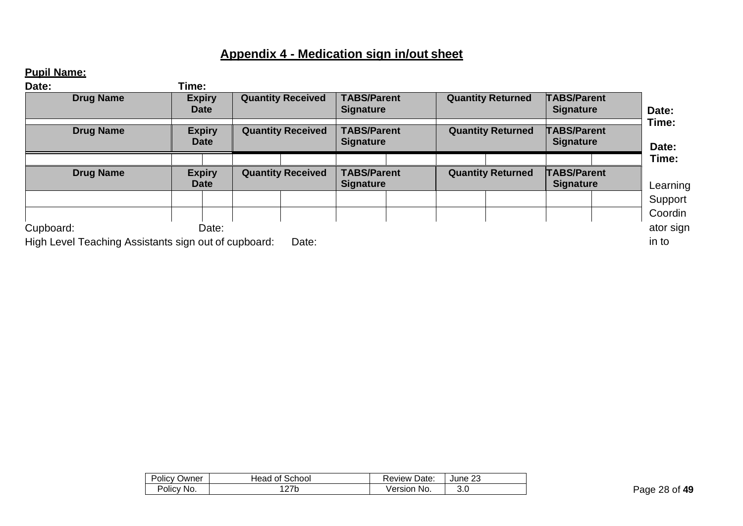# **Appendix 4 - Medication sign in/out sheet**

# **Pupil Name:**

| Date:                                                | Time:                        |                          |                                        |                          |                                        |                         |
|------------------------------------------------------|------------------------------|--------------------------|----------------------------------------|--------------------------|----------------------------------------|-------------------------|
| <b>Drug Name</b>                                     | <b>Expiry</b><br>Date        | <b>Quantity Received</b> | <b>TABS/Parent</b><br><b>Signature</b> | <b>Quantity Returned</b> | <b>TABS/Parent</b><br><b>Signature</b> | Date:<br>Time:<br>Date: |
| <b>Drug Name</b>                                     | <b>Expiry</b><br>Date        | <b>Quantity Received</b> | <b>TABS/Parent</b><br><b>Signature</b> | <b>Quantity Returned</b> | <b>TABS/Parent</b><br><b>Signature</b> |                         |
|                                                      |                              |                          |                                        |                          |                                        | Time:                   |
| <b>Drug Name</b>                                     | <b>Expiry</b><br><b>Date</b> | <b>Quantity Received</b> | <b>TABS/Parent</b><br><b>Signature</b> | <b>Quantity Returned</b> | <b>TABS/Parent</b><br><b>Signature</b> | Learning                |
|                                                      |                              |                          |                                        |                          |                                        | Support                 |
|                                                      |                              |                          |                                        |                          |                                        | Coordin                 |
| Cupboard:                                            | Date:                        |                          |                                        |                          |                                        | ator sign               |
| High Level Teaching Assistants sign out of cupboard: |                              | Date:                    |                                        |                          |                                        | in to                   |

| Policy     | Head of School | Date:          | ົດດ     |
|------------|----------------|----------------|---------|
| Owner      |                | Review         | June 23 |
| Policy No. | ີ?7b           | No.<br>Version | 3.0     |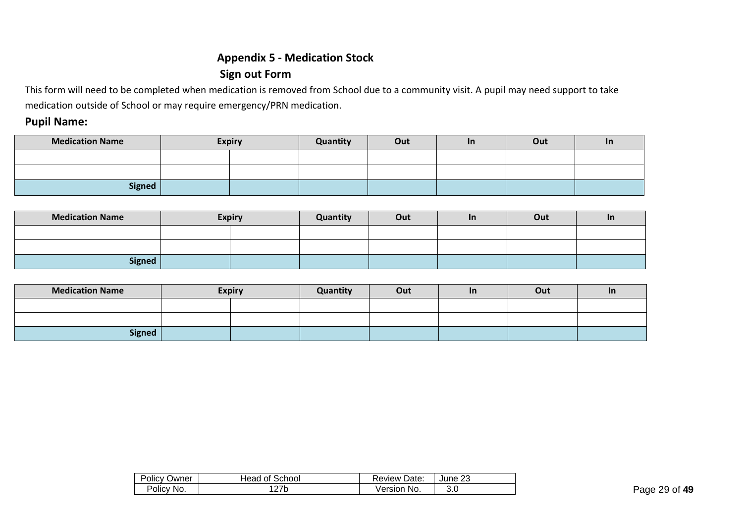# **Appendix 5 - Medication Stock Sign out Form**

This form will need to be completed when medication is removed from School due to a community visit. A pupil may need support to take medication outside of School or may require emergency/PRN medication.

### **Pupil Name:**

| <b>Medication Name</b> | <b>Expiry</b> | Quantity | Out | <u>In</u> | Out | <u>In</u> |
|------------------------|---------------|----------|-----|-----------|-----|-----------|
|                        |               |          |     |           |     |           |
|                        |               |          |     |           |     |           |
| <b>Signed</b>          |               |          |     |           |     |           |

| <b>Medication Name</b> | <b>Expiry</b> | Quantity | Out | <u>In</u> | Out | <b>In</b> |
|------------------------|---------------|----------|-----|-----------|-----|-----------|
|                        |               |          |     |           |     |           |
|                        |               |          |     |           |     |           |
| <b>Signed</b>          |               |          |     |           |     |           |

| <b>Medication Name</b> | <b>Expiry</b> | Quantity | Out | <u>In</u> | Out | ND. |
|------------------------|---------------|----------|-----|-----------|-----|-----|
|                        |               |          |     |           |     |     |
|                        |               |          |     |           |     |     |
| <b>Signed</b>          |               |          |     |           |     |     |

| Policy | School          | Date:          | つつ      |
|--------|-----------------|----------------|---------|
| Owner  | Head of         | ⊀eview         | June 23 |
| Policy | 27 <sub>b</sub> | <b>Version</b> | v.v     |
| No.    | 1 Z L           | No.            |         |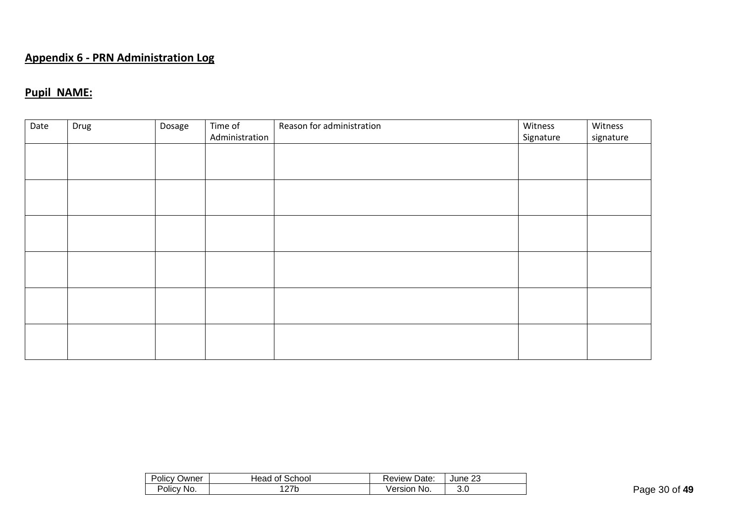# **Appendix 6 - PRN Administration Log**

# **Pupil NAME:**

| Date | Drug | Dosage | Time of<br>Administration | Reason for administration | Witness<br>Signature | Witness<br>signature |
|------|------|--------|---------------------------|---------------------------|----------------------|----------------------|
|      |      |        |                           |                           |                      |                      |
|      |      |        |                           |                           |                      |                      |
|      |      |        |                           |                           |                      |                      |
|      |      |        |                           |                           |                      |                      |
|      |      |        |                           |                           |                      |                      |
|      |      |        |                           |                           |                      |                      |

| Policy L       | Head of School          | Date:          | າາ       |
|----------------|-------------------------|----------------|----------|
| Owner          |                         | Review         | June 23  |
| Policy,<br>No. | 127h<br>◡<br><u>_ 1</u> | Version<br>No. | ົ<br>v.v |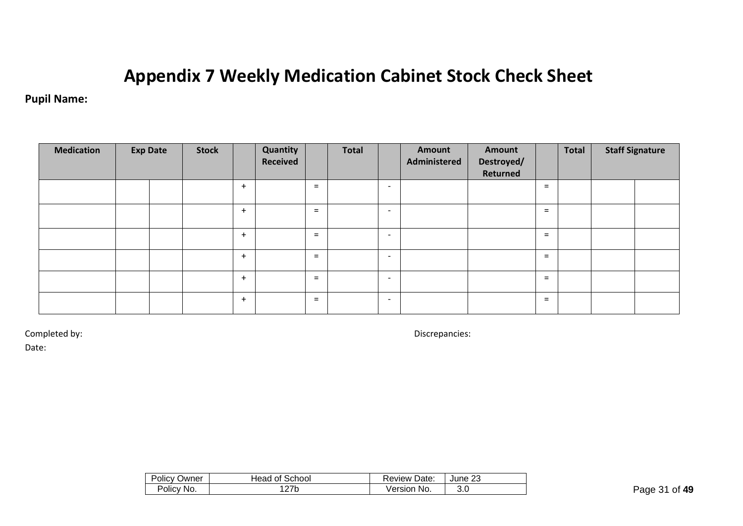# **Appendix 7 Weekly Medication Cabinet Stock Check Sheet**

# **Pupil Name:**

| <b>Medication</b> | <b>Exp Date</b> | <b>Stock</b> |     | Quantity<br>Received |          | <b>Total</b> |                          | Amount<br>Administered | Amount<br>Destroyed/<br>Returned |          | <b>Total</b> | <b>Staff Signature</b> |
|-------------------|-----------------|--------------|-----|----------------------|----------|--------------|--------------------------|------------------------|----------------------------------|----------|--------------|------------------------|
|                   |                 |              | $+$ |                      | $=$      |              | $\overline{\phantom{a}}$ |                        |                                  | $\equiv$ |              |                        |
|                   |                 |              | $+$ |                      | $\equiv$ |              | $\overline{\phantom{a}}$ |                        |                                  | $\equiv$ |              |                        |
|                   |                 |              | $+$ |                      | $\equiv$ |              | $\overline{\phantom{a}}$ |                        |                                  | $\equiv$ |              |                        |
|                   |                 |              | $+$ |                      | $=$      |              | $\overline{\phantom{a}}$ |                        |                                  | $=$      |              |                        |
|                   |                 |              | $+$ |                      | $\equiv$ |              | $\overline{\phantom{a}}$ |                        |                                  | $=$      |              |                        |
|                   |                 |              | $+$ |                      | $=$      |              | $\overline{\phantom{a}}$ |                        |                                  | $=$      |              |                        |

Completed by: Discrepancies:

Date:

| $\sim$ $\sim$<br>Owner<br><b>POIICV</b> | Head of School | Review Date:     | ne,<br>June∶<br>د.∠ |
|-----------------------------------------|----------------|------------------|---------------------|
| Policy No.                              | 27b            | √ersion<br>- No. | J.J                 |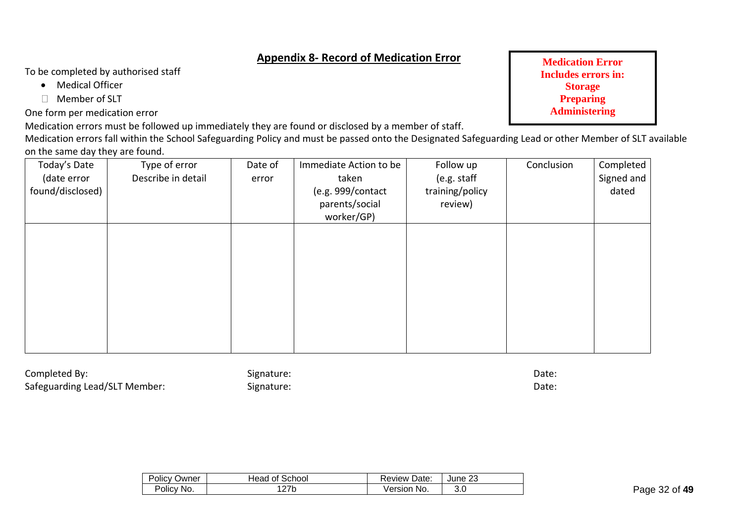# **Appendix 8- Record of Medication Error**

To be completed by authorised staff

- Medical Officer
- Member of SLT

One form per medication error

Medication errors must be followed up immediately they are found or disclosed by a member of staff.

Medication errors fall within the School Safeguarding Policy and must be passed onto the Designated Safeguarding Lead or other Member of SLT available on the same day they are found.

| Today's Date<br>(date error<br>found/disclosed) | Type of error<br>Describe in detail | Date of<br>error | Immediate Action to be<br>taken<br>(e.g. 999/contact<br>parents/social<br>worker/GP) | Follow up<br>(e.g. staff<br>training/policy<br>review) | Conclusion | Completed<br>Signed and<br>dated |
|-------------------------------------------------|-------------------------------------|------------------|--------------------------------------------------------------------------------------|--------------------------------------------------------|------------|----------------------------------|
|                                                 |                                     |                  |                                                                                      |                                                        |            |                                  |
|                                                 |                                     |                  |                                                                                      |                                                        |            |                                  |

Completed By: Date: Signature: Signature: Date: Date: Date: Date: Date: Date: Date: Date: Date: Date: Date: Date: Date: Date: Date: Date: Date: Date: Date: Date: Date: Date: Date: Date: Date: Date: Date: Date: Date: Date: Safeguarding Lead/SLT Member: Signature: Signature: Date: Date: Date:

| Policy . | : School | Date:      | ററ      |
|----------|----------|------------|---------|
| Owner    | Head of  | , keview ' | June 23 |
| Policv   | ი 77 ს   | Version    | v.v     |
| No.      | 1 Z L    | No.        |         |

**Medication Error Includes errors in: Storage Preparing Administering**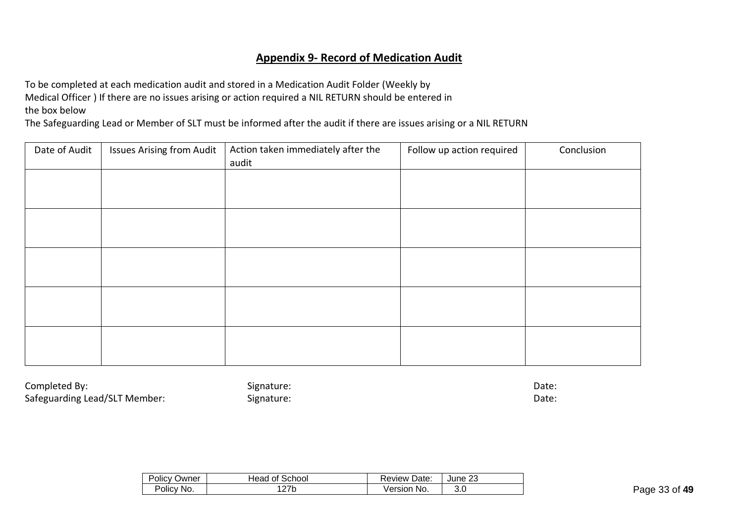### **Appendix 9- Record of Medication Audit**

To be completed at each medication audit and stored in a Medication Audit Folder (Weekly by Medical Officer ) If there are no issues arising or action required a NIL RETURN should be entered in the box below

The Safeguarding Lead or Member of SLT must be informed after the audit if there are issues arising or a NIL RETURN

| Date of Audit | <b>Issues Arising from Audit</b> | Action taken immediately after the | Follow up action required | Conclusion |
|---------------|----------------------------------|------------------------------------|---------------------------|------------|
|               |                                  | audit                              |                           |            |
|               |                                  |                                    |                           |            |
|               |                                  |                                    |                           |            |
|               |                                  |                                    |                           |            |
|               |                                  |                                    |                           |            |
|               |                                  |                                    |                           |            |
|               |                                  |                                    |                           |            |
|               |                                  |                                    |                           |            |
|               |                                  |                                    |                           |            |
|               |                                  |                                    |                           |            |
|               |                                  |                                    |                           |            |
|               |                                  |                                    |                           |            |
|               |                                  |                                    |                           |            |
|               |                                  |                                    |                           |            |
|               |                                  |                                    |                           |            |
|               |                                  |                                    |                           |            |

Completed By: Date: Signature: Signature: Date: Date: Date: Date: Date: Date: Date: Date: Date: Date: Date: Date: Date: Date: Date: Date: Date: Date: Date: Date: Date: Date: Date: Date: Date: Date: Date: Date: Date: Date: Safeguarding Lead/SLT Member: Signature: Signature: Date: Date: Date: Date:

| <b>Policy Owner</b> | Head of School | Date:<br>Review I | June 23 |
|---------------------|----------------|-------------------|---------|
| Policy No.          | ົດ7ໄ           | No.               | ח פ     |
|                     | 21 N           | Version           | v.v     |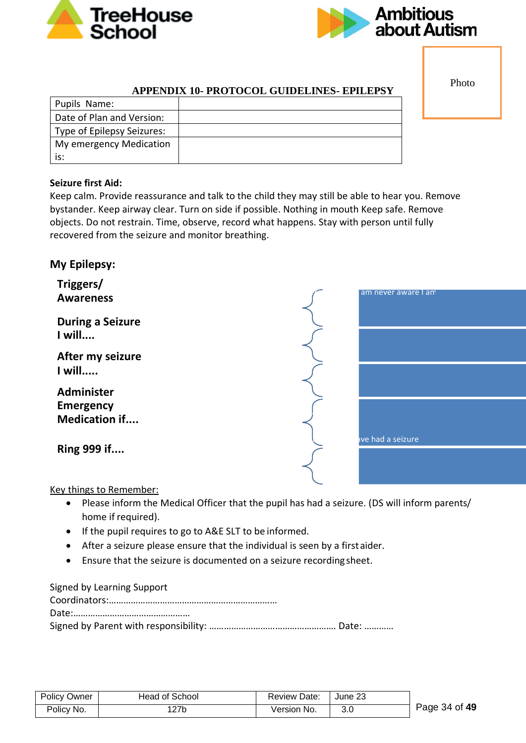



Photo

### **APPENDIX 10- PROTOCOL GUIDELINES- EPILEPSY**

| Pupils Name:               |  |
|----------------------------|--|
| Date of Plan and Version:  |  |
| Type of Epilepsy Seizures: |  |
| My emergency Medication    |  |
| is:                        |  |

### **Seizure first Aid:**

Keep calm. Provide reassurance and talk to the child they may still be able to hear you. Remove bystander. Keep airway clear. Turn on side if possible. Nothing in mouth Keep safe. Remove objects. Do not restrain. Time, observe, record what happens. Stay with person until fully recovered from the seizure and monitor breathing.

### **My Epilepsy:**



#### Key things to Remember:

- Please inform the Medical Officer that the pupil has had a seizure. (DS will inform parents/ home if required).
- If the pupil requires to go to A&E SLT to be informed.
- After a seizure please ensure that the individual is seen by a firstaider.
- Ensure that the seizure is documented on a seizure recordingsheet.

| Signed by Learning Support |  |
|----------------------------|--|
|                            |  |
|                            |  |
|                            |  |

| Policy Owner | Head of School | Review Date: | ∣ June 23 |
|--------------|----------------|--------------|-----------|
| Policy No.   | 127b           | Version No.  | 3.0       |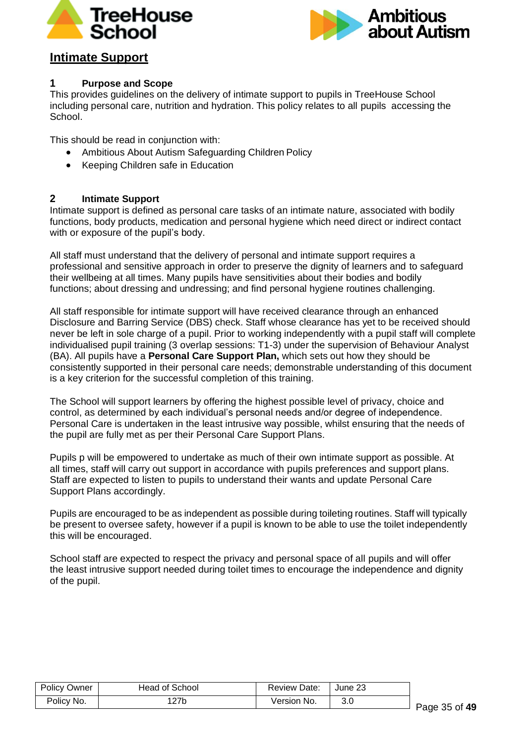



# **Intimate Support**

### **1 Purpose and Scope**

This provides guidelines on the delivery of intimate support to pupils in TreeHouse School including personal care, nutrition and hydration. This policy relates to all pupils accessing the School.

This should be read in conjunction with:

- Ambitious About Autism Safeguarding Children Policy
- Keeping Children safe in Education

### **2 Intimate Support**

Intimate support is defined as personal care tasks of an intimate nature, associated with bodily functions, body products, medication and personal hygiene which need direct or indirect contact with or exposure of the pupil's body.

All staff must understand that the delivery of personal and intimate support requires a professional and sensitive approach in order to preserve the dignity of learners and to safeguard their wellbeing at all times. Many pupils have sensitivities about their bodies and bodily functions; about dressing and undressing; and find personal hygiene routines challenging.

All staff responsible for intimate support will have received clearance through an enhanced Disclosure and Barring Service (DBS) check. Staff whose clearance has yet to be received should never be left in sole charge of a pupil. Prior to working independently with a pupil staff will complete individualised pupil training (3 overlap sessions: T1-3) under the supervision of Behaviour Analyst (BA). All pupils have a **Personal Care Support Plan,** which sets out how they should be consistently supported in their personal care needs; demonstrable understanding of this document is a key criterion for the successful completion of this training.

The School will support learners by offering the highest possible level of privacy, choice and control, as determined by each individual's personal needs and/or degree of independence. Personal Care is undertaken in the least intrusive way possible, whilst ensuring that the needs of the pupil are fully met as per their Personal Care Support Plans.

Pupils p will be empowered to undertake as much of their own intimate support as possible. At all times, staff will carry out support in accordance with pupils preferences and support plans. Staff are expected to listen to pupils to understand their wants and update Personal Care Support Plans accordingly.

Pupils are encouraged to be as independent as possible during toileting routines. Staff will typically be present to oversee safety, however if a pupil is known to be able to use the toilet independently this will be encouraged.

School staff are expected to respect the privacy and personal space of all pupils and will offer the least intrusive support needed during toilet times to encourage the independence and dignity of the pupil.

| <b>Policy Owner</b> | Head of School | Review Date: | ∣ June 23 |
|---------------------|----------------|--------------|-----------|
| Policy No.          | 127b           | Version No.  | 3.0       |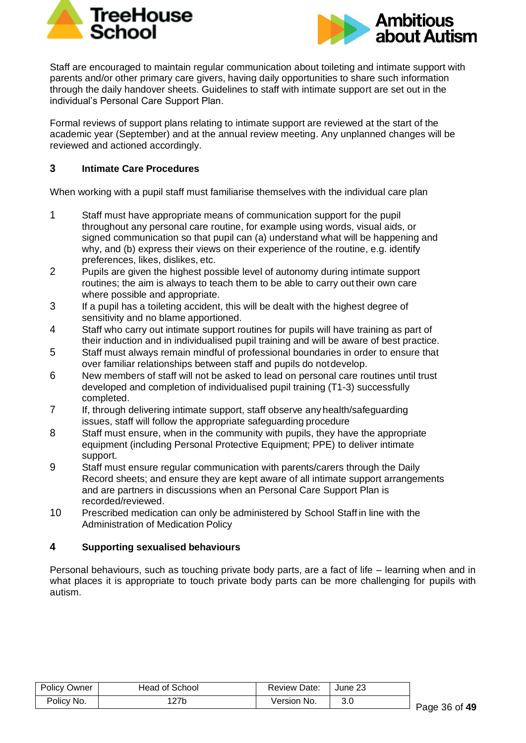



Staff are encouraged to maintain regular communication about toileting and intimate support with parents and/or other primary care givers, having daily opportunities to share such information through the daily handover sheets. Guidelines to staff with intimate support are set out in the individual's Personal Care Support Plan.

Formal reviews of support plans relating to intimate support are reviewed at the start of the academic year (September) and at the annual review meeting. Any unplanned changes will be reviewed and actioned accordingly.

### **3 Intimate Care Procedures**

When working with a pupil staff must familiarise themselves with the individual care plan

- 1 Staff must have appropriate means of communication support for the pupil throughout any personal care routine, for example using words, visual aids, or signed communication so that pupil can (a) understand what will be happening and why, and (b) express their views on their experience of the routine, e.g. identify preferences, likes, dislikes, etc.
- 2 Pupils are given the highest possible level of autonomy during intimate support routines; the aim is always to teach them to be able to carry out their own care where possible and appropriate.
- 3 If a pupil has a toileting accident, this will be dealt with the highest degree of sensitivity and no blame apportioned.
- 4 Staff who carry out intimate support routines for pupils will have training as part of their induction and in individualised pupil training and will be aware of best practice.
- 5 Staff must always remain mindful of professional boundaries in order to ensure that over familiar relationships between staff and pupils do notdevelop.
- 6 New members of staff will not be asked to lead on personal care routines until trust developed and completion of individualised pupil training (T1-3) successfully completed.
- 7 If, through delivering intimate support, staff observe any health/safeguarding issues, staff will follow the appropriate safeguarding procedure
- 8 Staff must ensure, when in the community with pupils, they have the appropriate equipment (including Personal Protective Equipment; PPE) to deliver intimate support.
- 9 Staff must ensure regular communication with parents/carers through the Daily Record sheets; and ensure they are kept aware of all intimate support arrangements and are partners in discussions when an Personal Care Support Plan is recorded/reviewed.
- 10 Prescribed medication can only be administered by School Staff in line with the Administration of Medication Policy

### **4 Supporting sexualised behaviours**

Personal behaviours, such as touching private body parts, are a fact of life – learning when and in what places it is appropriate to touch private body parts can be more challenging for pupils with autism.

| <b>Policy Owner</b> | Head of School | Review Date: | ∣ June 23 |
|---------------------|----------------|--------------|-----------|
| Policy No.          | 127b           | Version No.  | 3.0       |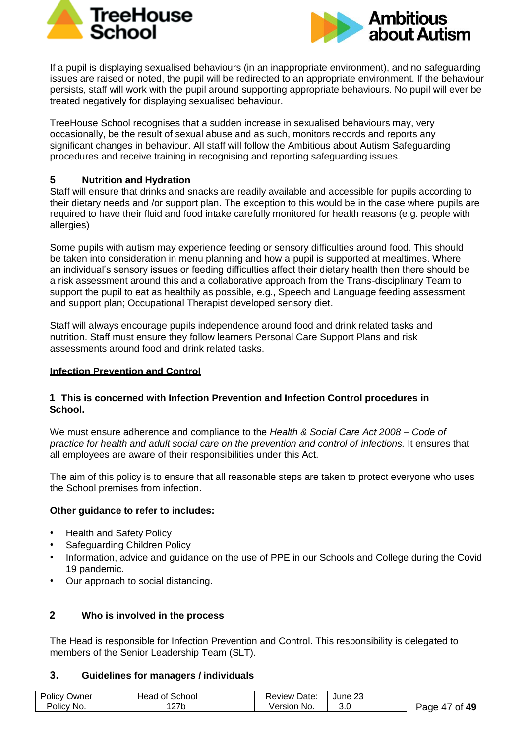



If a pupil is displaying sexualised behaviours (in an inappropriate environment), and no safeguarding issues are raised or noted, the pupil will be redirected to an appropriate environment. If the behaviour persists, staff will work with the pupil around supporting appropriate behaviours. No pupil will ever be treated negatively for displaying sexualised behaviour.

TreeHouse School recognises that a sudden increase in sexualised behaviours may, very occasionally, be the result of sexual abuse and as such, monitors records and reports any significant changes in behaviour. All staff will follow the Ambitious about Autism Safeguarding procedures and receive training in recognising and reporting safeguarding issues.

### **5 Nutrition and Hydration**

Staff will ensure that drinks and snacks are readily available and accessible for pupils according to their dietary needs and /or support plan. The exception to this would be in the case where pupils are required to have their fluid and food intake carefully monitored for health reasons (e.g. people with allergies)

Some pupils with autism may experience feeding or sensory difficulties around food. This should be taken into consideration in menu planning and how a pupil is supported at mealtimes. Where an individual's sensory issues or feeding difficulties affect their dietary health then there should be a risk assessment around this and a collaborative approach from the Trans-disciplinary Team to support the pupil to eat as healthily as possible, e.g., Speech and Language feeding assessment and support plan; Occupational Therapist developed sensory diet.

Staff will always encourage pupils independence around food and drink related tasks and nutrition. Staff must ensure they follow learners Personal Care Support Plans and risk assessments around food and drink related tasks.

### **Infection Prevention and Control**

### **1 This is concerned with Infection Prevention and Infection Control procedures in School.**

We must ensure adherence and compliance to the *Health & Social Care Act 2008 – Code of practice for health and adult social care on the prevention and control of infections.* It ensures that all employees are aware of their responsibilities under this Act.

The aim of this policy is to ensure that all reasonable steps are taken to protect everyone who uses the School premises from infection.

### **Other guidance to refer to includes:**

- Health and Safety Policy
- Safeguarding Children Policy
- Information, advice and guidance on the use of PPE in our Schools and College during the Covid 19 pandemic.
- Our approach to social distancing.

### **2 Who is involved in the process**

The Head is responsible for Infection Prevention and Control. This responsibility is delegated to members of the Senior Leadership Team (SLT).

### **3. Guidelines for managers / individuals**

| <b>Policy Owner</b> | Head of School | Review Date:   | June 23 |  |
|---------------------|----------------|----------------|---------|--|
| Policy No.          | 127b           | √ersion<br>No. | 3.0     |  |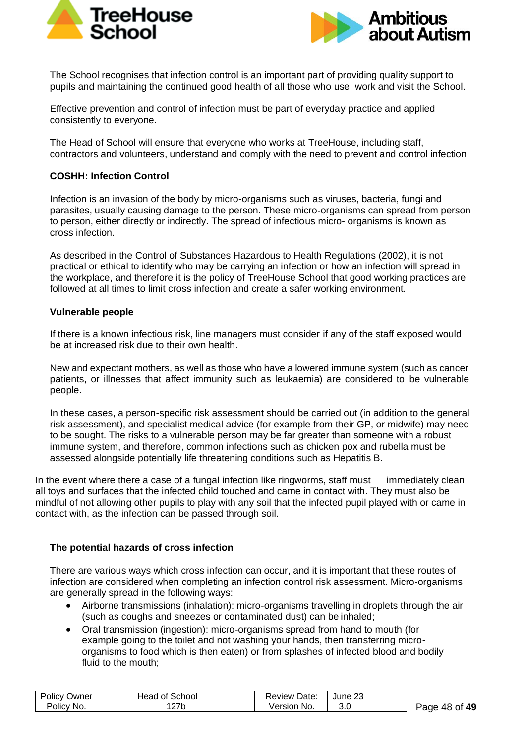



The School recognises that infection control is an important part of providing quality support to pupils and maintaining the continued good health of all those who use, work and visit the School.

Effective prevention and control of infection must be part of everyday practice and applied consistently to everyone.

The Head of School will ensure that everyone who works at TreeHouse, including staff, contractors and volunteers, understand and comply with the need to prevent and control infection.

### **COSHH: Infection Control**

Infection is an invasion of the body by micro-organisms such as viruses, bacteria, fungi and parasites, usually causing damage to the person. These micro-organisms can spread from person to person, either directly or indirectly. The spread of infectious micro- organisms is known as cross infection.

As described in the Control of Substances Hazardous to Health Regulations (2002), it is not practical or ethical to identify who may be carrying an infection or how an infection will spread in the workplace, and therefore it is the policy of TreeHouse School that good working practices are followed at all times to limit cross infection and create a safer working environment.

### **Vulnerable people**

If there is a known infectious risk, line managers must consider if any of the staff exposed would be at increased risk due to their own health.

New and expectant mothers, as well as those who have a lowered immune system (such as cancer patients, or illnesses that affect immunity such as leukaemia) are considered to be vulnerable people.

In these cases, a person-specific risk assessment should be carried out (in addition to the general risk assessment), and specialist medical advice (for example from their GP, or midwife) may need to be sought. The risks to a vulnerable person may be far greater than someone with a robust immune system, and therefore, common infections such as chicken pox and rubella must be assessed alongside potentially life threatening conditions such as Hepatitis B.

In the event where there a case of a fungal infection like ringworms, staff must immediately clean all toys and surfaces that the infected child touched and came in contact with. They must also be mindful of not allowing other pupils to play with any soil that the infected pupil played with or came in contact with, as the infection can be passed through soil.

### **The potential hazards of cross infection**

There are various ways which cross infection can occur, and it is important that these routes of infection are considered when completing an infection control risk assessment. Micro-organisms are generally spread in the following ways:

- Airborne transmissions (inhalation): micro-organisms travelling in droplets through the air (such as coughs and sneezes or contaminated dust) can be inhaled;
- Oral transmission (ingestion): micro-organisms spread from hand to mouth (for example going to the toilet and not washing your hands, then transferring microorganisms to food which is then eaten) or from splashes of infected blood and bodily fluid to the mouth;

| Policy (<br>Owner | Head of School  | <b>Review Date:</b> | June 23 |
|-------------------|-----------------|---------------------|---------|
| Policy No.        | 27 <sub>b</sub> | √ersion<br>No.      | 3.0     |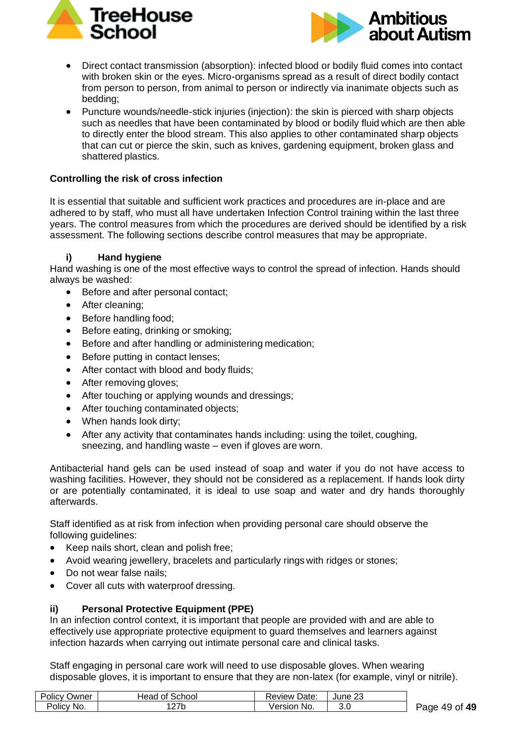



- Direct contact transmission (absorption): infected blood or bodily fluid comes into contact with broken skin or the eyes. Micro-organisms spread as a result of direct bodily contact from person to person, from animal to person or indirectly via inanimate objects such as bedding;
- Puncture wounds/needle-stick injuries (injection): the skin is pierced with sharp objects such as needles that have been contaminated by blood or bodily fluid which are then able to directly enter the blood stream. This also applies to other contaminated sharp objects that can cut or pierce the skin, such as knives, gardening equipment, broken glass and shattered plastics.

### **Controlling the risk of cross infection**

It is essential that suitable and sufficient work practices and procedures are in-place and are adhered to by staff, who must all have undertaken Infection Control training within the last three years. The control measures from which the procedures are derived should be identified by a risk assessment. The following sections describe control measures that may be appropriate.

### **i) Hand hygiene**

Hand washing is one of the most effective ways to control the spread of infection. Hands should always be washed:

- Before and after personal contact;
- After cleaning:
- Before handling food;
- Before eating, drinking or smoking;
- Before and after handling or administering medication;
- Before putting in contact lenses;
- After contact with blood and body fluids;
- After removing gloves:
- After touching or applying wounds and dressings;
- After touching contaminated objects:
- When hands look dirty:
- After any activity that contaminates hands including: using the toilet, coughing, sneezing, and handling waste – even if gloves are worn.

Antibacterial hand gels can be used instead of soap and water if you do not have access to washing facilities. However, they should not be considered as a replacement. If hands look dirty or are potentially contaminated, it is ideal to use soap and water and dry hands thoroughly afterwards.

Staff identified as at risk from infection when providing personal care should observe the following guidelines:

- Keep nails short, clean and polish free;
- Avoid wearing jewellery, bracelets and particularly rings with ridges or stones;
- Do not wear false nails:
- Cover all cuts with waterproof dressing.

### **ii) Personal Protective Equipment (PPE)**

In an infection control context, it is important that people are provided with and are able to effectively use appropriate protective equipment to guard themselves and learners against infection hazards when carrying out intimate personal care and clinical tasks.

Staff engaging in personal care work will need to use disposable gloves. When wearing disposable gloves, it is important to ensure that they are non-latex (for example, vinyl or nitrile).

| Policy Owner | Head of School | <b>Review Date:</b> | June 23 |  |
|--------------|----------------|---------------------|---------|--|
| Policy No.   | 127b           | Version No.         | 3.0     |  |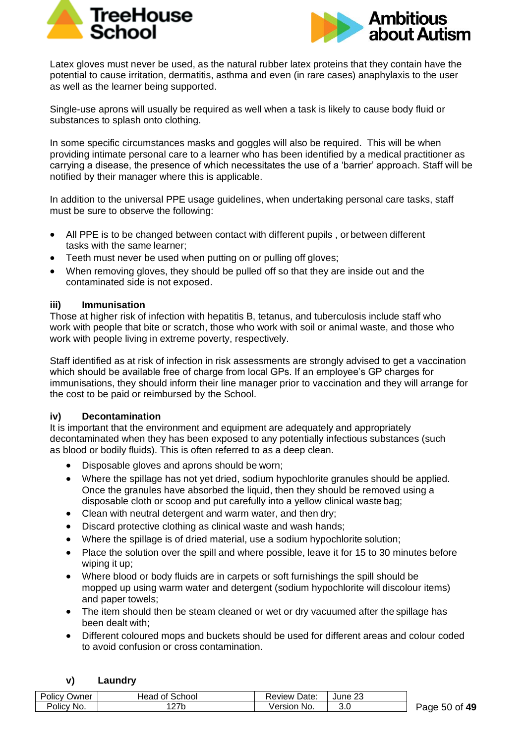



Latex gloves must never be used, as the natural rubber latex proteins that they contain have the potential to cause irritation, dermatitis, asthma and even (in rare cases) anaphylaxis to the user as well as the learner being supported.

Single-use aprons will usually be required as well when a task is likely to cause body fluid or substances to splash onto clothing.

In some specific circumstances masks and goggles will also be required. This will be when providing intimate personal care to a learner who has been identified by a medical practitioner as carrying a disease, the presence of which necessitates the use of a 'barrier' approach. Staff will be notified by their manager where this is applicable.

In addition to the universal PPE usage guidelines, when undertaking personal care tasks, staff must be sure to observe the following:

- All PPE is to be changed between contact with different pupils , or between different tasks with the same learner;
- Teeth must never be used when putting on or pulling off gloves;
- When removing gloves, they should be pulled off so that they are inside out and the contaminated side is not exposed.

### **iii) Immunisation**

Those at higher risk of infection with hepatitis B, tetanus, and tuberculosis include staff who work with people that bite or scratch, those who work with soil or animal waste, and those who work with people living in extreme poverty, respectively.

Staff identified as at risk of infection in risk assessments are strongly advised to get a vaccination which should be available free of charge from local GPs. If an employee's GP charges for immunisations, they should inform their line manager prior to vaccination and they will arrange for the cost to be paid or reimbursed by the School.

### **iv) Decontamination**

It is important that the environment and equipment are adequately and appropriately decontaminated when they has been exposed to any potentially infectious substances (such as blood or bodily fluids). This is often referred to as a deep clean.

- Disposable gloves and aprons should be worn;
- Where the spillage has not yet dried, sodium hypochlorite granules should be applied. Once the granules have absorbed the liquid, then they should be removed using a disposable cloth or scoop and put carefully into a yellow clinical waste bag;
- Clean with neutral detergent and warm water, and then dry;
- Discard protective clothing as clinical waste and wash hands;
- Where the spillage is of dried material, use a sodium hypochlorite solution;
- Place the solution over the spill and where possible, leave it for 15 to 30 minutes before wiping it up;
- Where blood or body fluids are in carpets or soft furnishings the spill should be mopped up using warm water and detergent (sodium hypochlorite will discolour items) and paper towels;
- The item should then be steam cleaned or wet or dry vacuumed after the spillage has been dealt with;
- Different coloured mops and buckets should be used for different areas and colour coded to avoid confusion or cross contamination.

### **v) Laundry**

| Policy (   | <b>Head of School</b> | Date:          | າາ      |
|------------|-----------------------|----------------|---------|
| Owner      |                       | Review         | June 23 |
| Policy No. | 27 <sub>b</sub>       | Version<br>No. | 3.0     |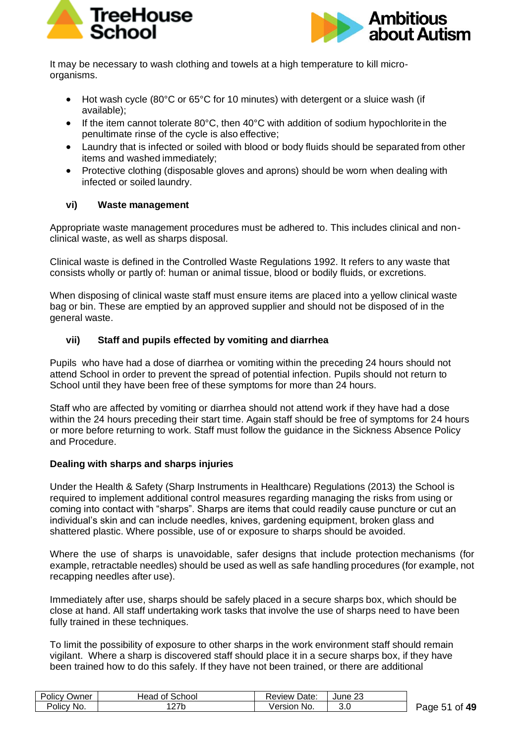



It may be necessary to wash clothing and towels at a high temperature to kill microorganisms.

- Hot wash cycle (80°C or 65°C for 10 minutes) with detergent or a sluice wash (if available);
- If the item cannot tolerate 80°C, then 40°C with addition of sodium hypochlorite in the penultimate rinse of the cycle is also effective;
- Laundry that is infected or soiled with blood or body fluids should be separated from other items and washed immediately;
- Protective clothing (disposable gloves and aprons) should be worn when dealing with infected or soiled laundry.

### **vi) Waste management**

Appropriate waste management procedures must be adhered to. This includes clinical and nonclinical waste, as well as sharps disposal.

Clinical waste is defined in the Controlled Waste Regulations 1992. It refers to any waste that consists wholly or partly of: human or animal tissue, blood or bodily fluids, or excretions.

When disposing of clinical waste staff must ensure items are placed into a yellow clinical waste bag or bin. These are emptied by an approved supplier and should not be disposed of in the general waste.

### **vii) Staff and pupils effected by vomiting and diarrhea**

Pupils who have had a dose of diarrhea or vomiting within the preceding 24 hours should not attend School in order to prevent the spread of potential infection. Pupils should not return to School until they have been free of these symptoms for more than 24 hours.

Staff who are affected by vomiting or diarrhea should not attend work if they have had a dose within the 24 hours preceding their start time. Again staff should be free of symptoms for 24 hours or more before returning to work. Staff must follow the guidance in the Sickness Absence Policy and Procedure.

### **Dealing with sharps and sharps injuries**

Under the Health & Safety (Sharp Instruments in Healthcare) Regulations (2013) the School is required to implement additional control measures regarding managing the risks from using or coming into contact with "sharps". Sharps are items that could readily cause puncture or cut an individual's skin and can include needles, knives, gardening equipment, broken glass and shattered plastic. Where possible, use of or exposure to sharps should be avoided.

Where the use of sharps is unavoidable, safer designs that include protection mechanisms (for example, retractable needles) should be used as well as safe handling procedures (for example, not recapping needles after use).

Immediately after use, sharps should be safely placed in a secure sharps box, which should be close at hand. All staff undertaking work tasks that involve the use of sharps need to have been fully trained in these techniques.

To limit the possibility of exposure to other sharps in the work environment staff should remain vigilant. Where a sharp is discovered staff should place it in a secure sharps box, if they have been trained how to do this safely. If they have not been trained, or there are additional

| <b>Policy Owner</b> | Head of School  | Review Date: | June 23 |  |
|---------------------|-----------------|--------------|---------|--|
| Policy No.          | 27 <sub>b</sub> | Version No.  | 3.0     |  |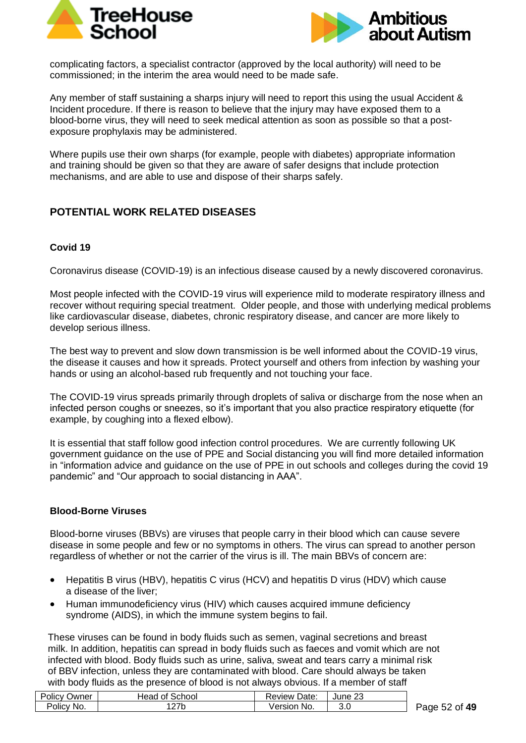



complicating factors, a specialist contractor (approved by the local authority) will need to be commissioned; in the interim the area would need to be made safe.

Any member of staff sustaining a sharps injury will need to report this using the usual Accident & Incident procedure. If there is reason to believe that the injury may have exposed them to a blood-borne virus, they will need to seek medical attention as soon as possible so that a postexposure prophylaxis may be administered.

Where pupils use their own sharps (for example, people with diabetes) appropriate information and training should be given so that they are aware of safer designs that include protection mechanisms, and are able to use and dispose of their sharps safely.

## **POTENTIAL WORK RELATED DISEASES**

### **Covid 19**

Coronavirus disease (COVID-19) is an infectious disease caused by a newly discovered coronavirus.

Most people infected with the COVID-19 virus will experience mild to moderate respiratory illness and recover without requiring special treatment. Older people, and those with underlying medical problems like cardiovascular disease, diabetes, chronic respiratory disease, and cancer are more likely to develop serious illness.

The best way to prevent and slow down transmission is be well informed about the COVID-19 virus, the disease it causes and how it spreads. Protect yourself and others from infection by washing your hands or using an alcohol-based rub frequently and not touching your face.

The COVID-19 virus spreads primarily through droplets of saliva or discharge from the nose when an infected person coughs or sneezes, so it's important that you also practice respiratory etiquette (for example, by coughing into a flexed elbow).

It is essential that staff follow good infection control procedures. We are currently following UK government guidance on the use of PPE and Social distancing you will find more detailed information in "information advice and guidance on the use of PPE in out schools and colleges during the covid 19 pandemic" and "Our approach to social distancing in AAA".

### **Blood-Borne Viruses**

Blood-borne viruses (BBVs) are viruses that people carry in their blood which can cause severe disease in some people and few or no symptoms in others. The virus can spread to another person regardless of whether or not the carrier of the virus is ill. The main BBVs of concern are:

- Hepatitis B virus (HBV), hepatitis C virus (HCV) and hepatitis D virus (HDV) which cause a disease of the liver;
- Human immunodeficiency virus (HIV) which causes acquired immune deficiency syndrome (AIDS), in which the immune system begins to fail.

These viruses can be found in body fluids such as semen, vaginal secretions and breast milk. In addition, hepatitis can spread in body fluids such as faeces and vomit which are not infected with blood. Body fluids such as urine, saliva, sweat and tears carry a minimal risk of BBV infection, unless they are contaminated with blood. Care should always be taken with body fluids as the presence of blood is not always obvious. If a member of staff

| <b>Policy Owner</b> | Head of School | Review Date: | June 23 |  |
|---------------------|----------------|--------------|---------|--|
| Policy No.          | '27b           | Version No.  | 3.0     |  |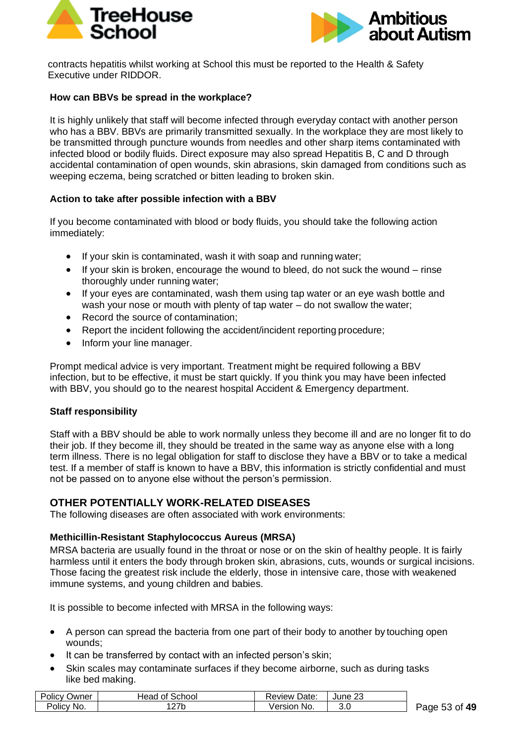



contracts hepatitis whilst working at School this must be reported to the Health & Safety Executive under RIDDOR.

### **How can BBVs be spread in the workplace?**

It is highly unlikely that staff will become infected through everyday contact with another person who has a BBV. BBVs are primarily transmitted sexually. In the workplace they are most likely to be transmitted through puncture wounds from needles and other sharp items contaminated with infected blood or bodily fluids. Direct exposure may also spread Hepatitis B, C and D through accidental contamination of open wounds, skin abrasions, skin damaged from conditions such as weeping eczema, being scratched or bitten leading to broken skin.

### **Action to take after possible infection with a BBV**

If you become contaminated with blood or body fluids, you should take the following action immediately:

- If your skin is contaminated, wash it with soap and running water;
- If your skin is broken, encourage the wound to bleed, do not suck the wound rinse thoroughly under running water;
- If your eyes are contaminated, wash them using tap water or an eye wash bottle and wash your nose or mouth with plenty of tap water – do not swallow the water;
- Record the source of contamination:
- Report the incident following the accident/incident reporting procedure;
- Inform your line manager.

Prompt medical advice is very important. Treatment might be required following a BBV infection, but to be effective, it must be start quickly. If you think you may have been infected with BBV, you should go to the nearest hospital Accident & Emergency department.

### **Staff responsibility**

Staff with a BBV should be able to work normally unless they become ill and are no longer fit to do their job. If they become ill, they should be treated in the same way as anyone else with a long term illness. There is no legal obligation for staff to disclose they have a BBV or to take a medical test. If a member of staff is known to have a BBV, this information is strictly confidential and must not be passed on to anyone else without the person's permission.

### **OTHER POTENTIALLY WORK-RELATED DISEASES**

The following diseases are often associated with work environments:

### **Methicillin-Resistant Staphylococcus Aureus (MRSA)**

MRSA bacteria are usually found in the throat or nose or on the skin of healthy people. It is fairly harmless until it enters the body through broken skin, abrasions, cuts, wounds or surgical incisions. Those facing the greatest risk include the elderly, those in intensive care, those with weakened immune systems, and young children and babies.

It is possible to become infected with MRSA in the following ways:

- A person can spread the bacteria from one part of their body to another by touching open wounds;
- It can be transferred by contact with an infected person's skin:
- Skin scales may contaminate surfaces if they become airborne, such as during tasks like bed making.

| <b>Policy Owner</b> | Head of School | <b>Review Date:</b> | June 23 |  |
|---------------------|----------------|---------------------|---------|--|
| Policy No.          | '27b           | Version No.         | 3.0     |  |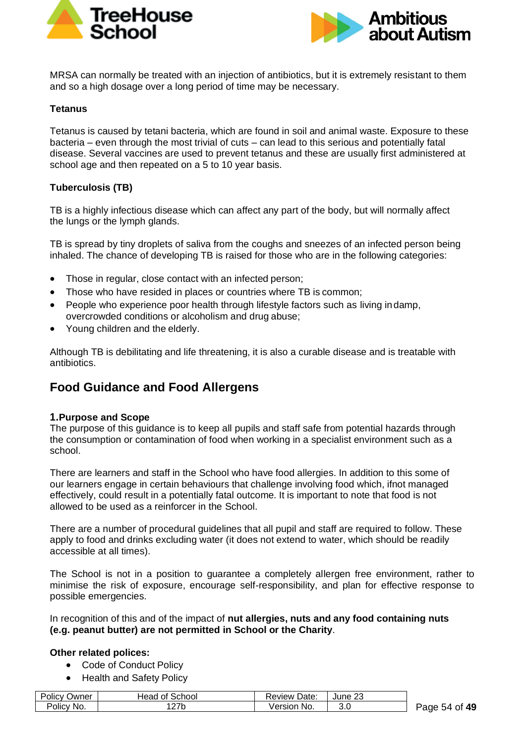



MRSA can normally be treated with an injection of antibiotics, but it is extremely resistant to them and so a high dosage over a long period of time may be necessary.

### **Tetanus**

Tetanus is caused by tetani bacteria, which are found in soil and animal waste. Exposure to these bacteria – even through the most trivial of cuts – can lead to this serious and potentially fatal disease. Several vaccines are used to prevent tetanus and these are usually first administered at school age and then repeated on a 5 to 10 year basis.

### **Tuberculosis (TB)**

TB is a highly infectious disease which can affect any part of the body, but will normally affect the lungs or the lymph glands.

TB is spread by tiny droplets of saliva from the coughs and sneezes of an infected person being inhaled. The chance of developing TB is raised for those who are in the following categories:

- Those in regular, close contact with an infected person;
- Those who have resided in places or countries where TB is common;
- People who experience poor health through lifestyle factors such as living indamp. overcrowded conditions or alcoholism and drug abuse;
- Young children and the elderly.

Although TB is debilitating and life threatening, it is also a curable disease and is treatable with antibiotics.

# **Food Guidance and Food Allergens**

#### **1.Purpose and Scope**

The purpose of this guidance is to keep all pupils and staff safe from potential hazards through the consumption or contamination of food when working in a specialist environment such as a school.

There are learners and staff in the School who have food allergies. In addition to this some of our learners engage in certain behaviours that challenge involving food which, ifnot managed effectively, could result in a potentially fatal outcome. It is important to note that food is not allowed to be used as a reinforcer in the School.

There are a number of procedural guidelines that all pupil and staff are required to follow. These apply to food and drinks excluding water (it does not extend to water, which should be readily accessible at all times).

The School is not in a position to guarantee a completely allergen free environment, rather to minimise the risk of exposure, encourage self-responsibility, and plan for effective response to possible emergencies.

In recognition of this and of the impact of **nut allergies, nuts and any food containing nuts (e.g. peanut butter) are not permitted in School or the Charity**.

#### **Other related polices:**

- Code of Conduct Policy
- Health and Safety Policy

| <b>Policy Owner</b> | <b>Head of School</b> | Review Date: | June 23 |
|---------------------|-----------------------|--------------|---------|
| Policy No.          | 127b                  | Version No.  | 3.0     |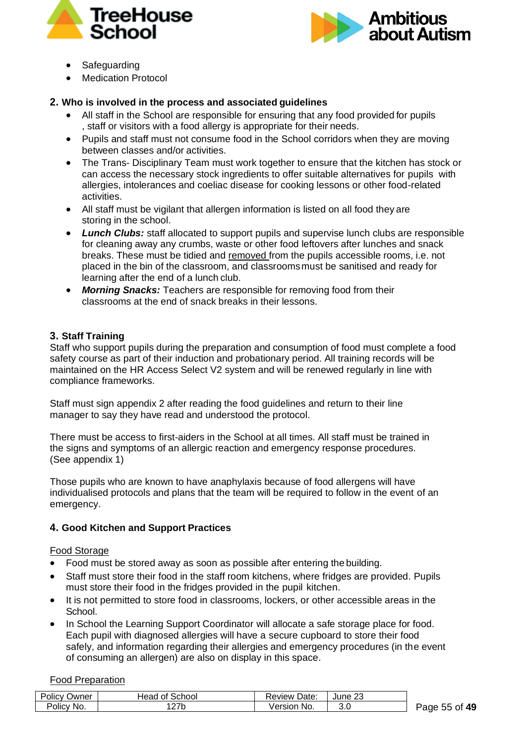



- Safeguarding
- Medication Protocol

### **2. Who is involved in the process and associated guidelines**

- All staff in the School are responsible for ensuring that any food provided for pupils , staff or visitors with a food allergy is appropriate for their needs.
- Pupils and staff must not consume food in the School corridors when they are moving between classes and/or activities.
- The Trans- Disciplinary Team must work together to ensure that the kitchen has stock or can access the necessary stock ingredients to offer suitable alternatives for pupils with allergies, intolerances and coeliac disease for cooking lessons or other food-related activities.
- All staff must be vigilant that allergen information is listed on all food they are storing in the school.
- *Lunch Clubs:* staff allocated to support pupils and supervise lunch clubs are responsible for cleaning away any crumbs, waste or other food leftovers after lunches and snack breaks. These must be tidied and removed from the pupils accessible rooms, i.e. not placed in the bin of the classroom, and classroomsmust be sanitised and ready for learning after the end of a lunch club.
- *Morning Snacks:* Teachers are responsible for removing food from their classrooms at the end of snack breaks in their lessons.

### **3. Staff Training**

Staff who support pupils during the preparation and consumption of food must complete a food safety course as part of their induction and probationary period. All training records will be maintained on the HR Access Select V2 system and will be renewed regularly in line with compliance frameworks.

Staff must sign appendix 2 after reading the food guidelines and return to their line manager to say they have read and understood the protocol.

There must be access to first-aiders in the School at all times. All staff must be trained in the signs and symptoms of an allergic reaction and emergency response procedures. (See appendix 1)

Those pupils who are known to have anaphylaxis because of food allergens will have individualised protocols and plans that the team will be required to follow in the event of an emergency.

### **4. Good Kitchen and Support Practices**

### Food Storage

- Food must be stored away as soon as possible after entering the building.
- Staff must store their food in the staff room kitchens, where fridges are provided. Pupils must store their food in the fridges provided in the pupil kitchen.
- It is not permitted to store food in classrooms, lockers, or other accessible areas in the School.
- In School the Learning Support Coordinator will allocate a safe storage place for food. Each pupil with diagnosed allergies will have a secure cupboard to store their food safely, and information regarding their allergies and emergency procedures (in the event of consuming an allergen) are also on display in this space.

#### Food Preparation

| <b>Policy Owner</b> | <b>Head of School</b> | <b>Review Date:</b> | June 23 |  |
|---------------------|-----------------------|---------------------|---------|--|
| Policy No.          |                       | Version No.         | 3.0     |  |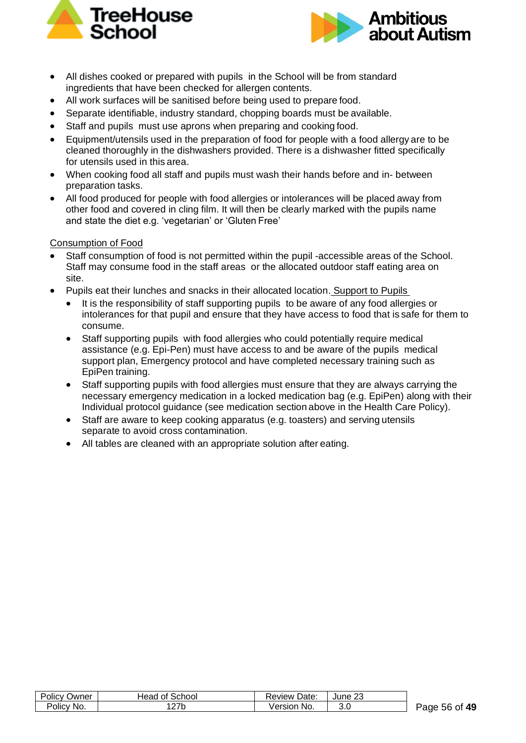



- All dishes cooked or prepared with pupils in the School will be from standard ingredients that have been checked for allergen contents.
- All work surfaces will be sanitised before being used to prepare food.
- Separate identifiable, industry standard, chopping boards must be available.
- Staff and pupils must use aprons when preparing and cooking food.
- Equipment/utensils used in the preparation of food for people with a food allergy are to be cleaned thoroughly in the dishwashers provided. There is a dishwasher fitted specifically for utensils used in this area.
- When cooking food all staff and pupils must wash their hands before and in- between preparation tasks.
- All food produced for people with food allergies or intolerances will be placed away from other food and covered in cling film. It will then be clearly marked with the pupils name and state the diet e.g. 'vegetarian' or 'Gluten Free'

### Consumption of Food

- Staff consumption of food is not permitted within the pupil -accessible areas of the School. Staff may consume food in the staff areas or the allocated outdoor staff eating area on site.
- Pupils eat their lunches and snacks in their allocated location. Support to Pupils
	- It is the responsibility of staff supporting pupils to be aware of any food allergies or intolerances for that pupil and ensure that they have access to food that is safe for them to consume.
	- Staff supporting pupils with food allergies who could potentially require medical assistance (e.g. Epi-Pen) must have access to and be aware of the pupils medical support plan, Emergency protocol and have completed necessary training such as EpiPen training.
	- Staff supporting pupils with food allergies must ensure that they are always carrying the necessary emergency medication in a locked medication bag (e.g. EpiPen) along with their Individual protocol guidance (see medication section above in the Health Care Policy).
	- Staff are aware to keep cooking apparatus (e.g. toasters) and serving utensils separate to avoid cross contamination.
	- All tables are cleaned with an appropriate solution after eating.

| <b>Policy Owner</b> | Head of School | Review Date: | June 23 |
|---------------------|----------------|--------------|---------|
| Policy No.          | 127b           | Version No.  | 3.0     |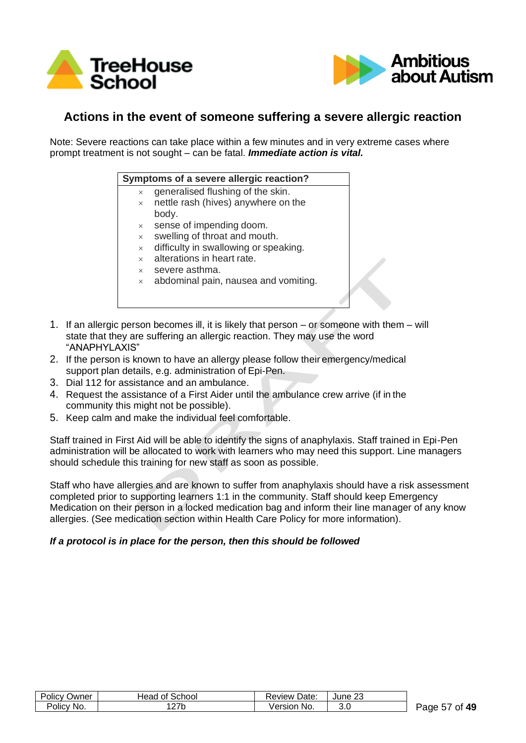



# **Actions in the event of someone suffering a severe allergic reaction**

Note: Severe reactions can take place within a few minutes and in very extreme cases where prompt treatment is not sought – can be fatal. *Immediate action is vital.*

| Symptoms of a severe allergic reaction? |  |  |
|-----------------------------------------|--|--|
|                                         |  |  |

- generalised flushing of the skin.
- $\times$  nettle rash (hives) anywhere on the body.
- sense of impending doom.
- swelling of throat and mouth.
- difficulty in swallowing or speaking.
- alterations in heart rate.
- $\times$  severe asthma.
- abdominal pain, nausea and vomiting.
- 1. If an allergic person becomes ill, it is likely that person or someone with them will state that they are suffering an allergic reaction. They may use the word "ANAPHYLAXIS"
- 2. If the person is known to have an allergy please follow their emergency/medical support plan details, e.g. administration of Epi-Pen.
- 3. Dial 112 for assistance and an ambulance.
- 4. Request the assistance of a First Aider until the ambulance crew arrive (if in the community this might not be possible).
- 5. Keep calm and make the individual feel comfortable.

Staff trained in First Aid will be able to identify the signs of anaphylaxis. Staff trained in Epi-Pen administration will be allocated to work with learners who may need this support. Line managers should schedule this training for new staff as soon as possible.

Staff who have allergies and are known to suffer from anaphylaxis should have a risk assessment completed prior to supporting learners 1:1 in the community. Staff should keep Emergency Medication on their person in a locked medication bag and inform their line manager of any know allergies. (See medication section within Health Care Policy for more information).

### *If a protocol is in place for the person, then this should be followed*

| <b>Policy Owner</b> | Head of School | <b>Review Date:</b> | 23<br>June 1 |
|---------------------|----------------|---------------------|--------------|
| Policy No.          | l27b           | Version No.         | 3.0          |